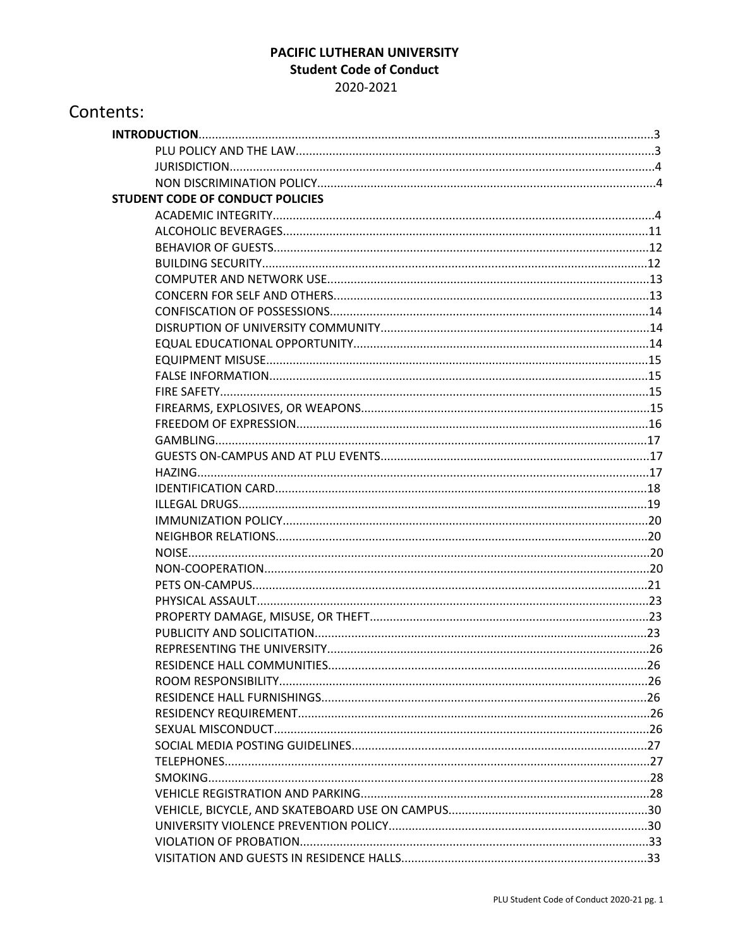### PACIFIC LUTHERAN UNIVERSITY **Student Code of Conduct** 2020-2021

| Contents:                               |  |
|-----------------------------------------|--|
|                                         |  |
|                                         |  |
|                                         |  |
|                                         |  |
| <b>STUDENT CODE OF CONDUCT POLICIES</b> |  |
|                                         |  |
|                                         |  |
|                                         |  |
|                                         |  |
|                                         |  |
|                                         |  |
|                                         |  |
|                                         |  |
|                                         |  |
|                                         |  |
|                                         |  |
|                                         |  |
|                                         |  |
|                                         |  |
|                                         |  |
|                                         |  |
|                                         |  |
|                                         |  |
|                                         |  |
|                                         |  |
|                                         |  |
|                                         |  |
|                                         |  |
|                                         |  |
|                                         |  |
|                                         |  |
| PUBLICITY AND SOLICITATION              |  |
|                                         |  |
|                                         |  |
|                                         |  |
|                                         |  |
|                                         |  |
|                                         |  |
|                                         |  |
|                                         |  |
|                                         |  |
|                                         |  |
|                                         |  |
|                                         |  |
|                                         |  |
|                                         |  |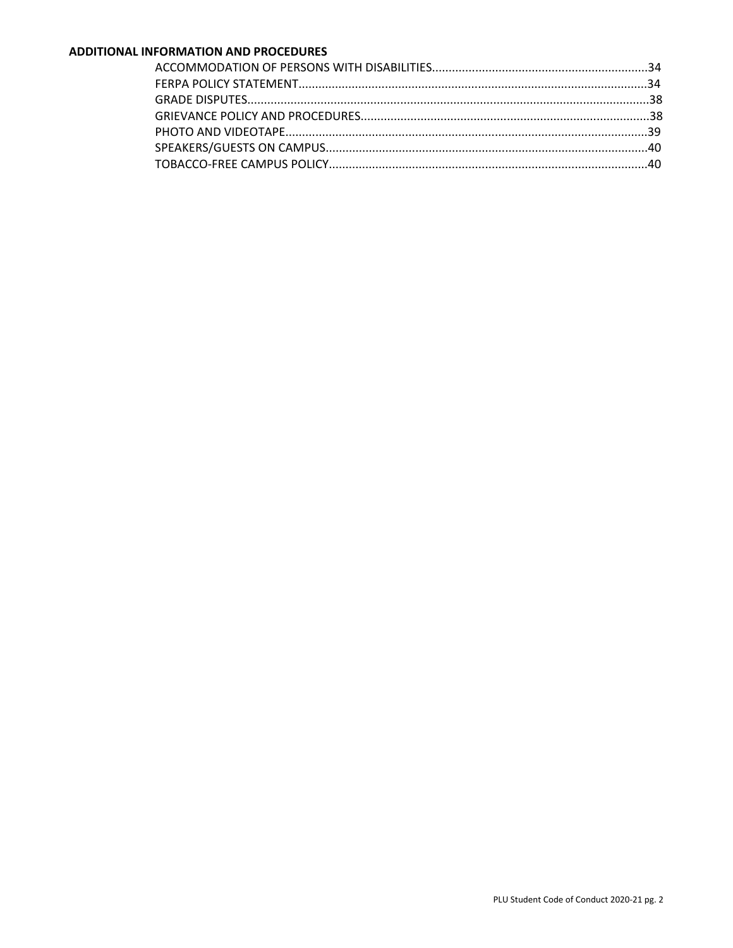#### ADDITIONAL INFORMATION AND PROCEDURES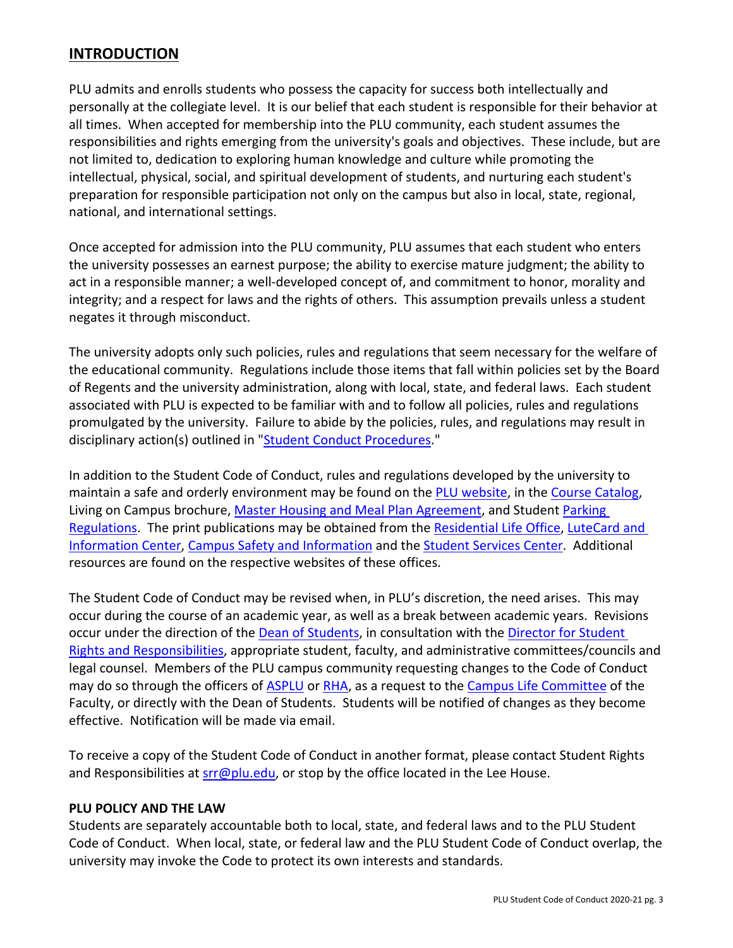# **INTRODUCTION**

PLU admits and enrolls students who possess the capacity for success both intellectually and personally at the collegiate level. It is our belief that each student is responsible for their behavior at all times. When accepted for membership into the PLU community, each student assumes the responsibilities and rights emerging from the university's goals and objectives. These include, but are not limited to, dedication to exploring human knowledge and culture while promoting the intellectual, physical, social, and spiritual development of students, and nurturing each student's preparation for responsible participation not only on the campus but also in local, state, regional, national, and international settings.

Once accepted for admission into the PLU community, PLU assumes that each student who enters the university possesses an earnest purpose; the ability to exercise mature judgment; the ability to act in a responsible manner; a well-developed concept of, and commitment to honor, morality and integrity; and a respect for laws and the rights of others. This assumption prevails unless a student negates it through misconduct.

The university adopts only such policies, rules and regulations that seem necessary for the welfare of the educational community. Regulations include those items that fall within policies set by the Board of Regents and the university administration, along with local, state, and federal laws. Each student associated with PLU is expected to be familiar with and to follow all policies, rules and regulations promulgated by the university. Failure to abide by the policies, rules, and regulations may result in disciplinary action(s) outlined in "Student Conduct Procedures."

In addition to the Student Code of Conduct, rules and regulations developed by the university to maintain a safe and orderly environment may be found on the PLU website, in the Course Catalog, Living on Campus brochure, Master Housing and Meal Plan Agreement, and Student Parking Regulations. The print publications may be obtained from the Residential Life Office, LuteCard and Information Center, Campus Safety and Information and the Student Services Center. Additional resources are found on the respective websites of these offices.

The Student Code of Conduct may be revised when, in PLU's discretion, the need arises. This may occur during the course of an academic year, as well as a break between academic years. Revisions occur under the direction of the Dean of Students, in consultation with the Director for Student Rights and Responsibilities, appropriate student, faculty, and administrative committees/councils and legal counsel. Members of the PLU campus community requesting changes to the Code of Conduct may do so through the officers of ASPLU or RHA, as a request to the Campus Life Committee of the Faculty, or directly with the Dean of Students. Students will be notified of changes as they become effective. Notification will be made via email.

To receive a copy of the Student Code of Conduct in another format, please contact Student Rights and Responsibilities at srr@plu.edu, or stop by the office located in the Lee House.

#### **PLU POLICY AND THE LAW**

Students are separately accountable both to local, state, and federal laws and to the PLU Student Code of Conduct. When local, state, or federal law and the PLU Student Code of Conduct overlap, the university may invoke the Code to protect its own interests and standards.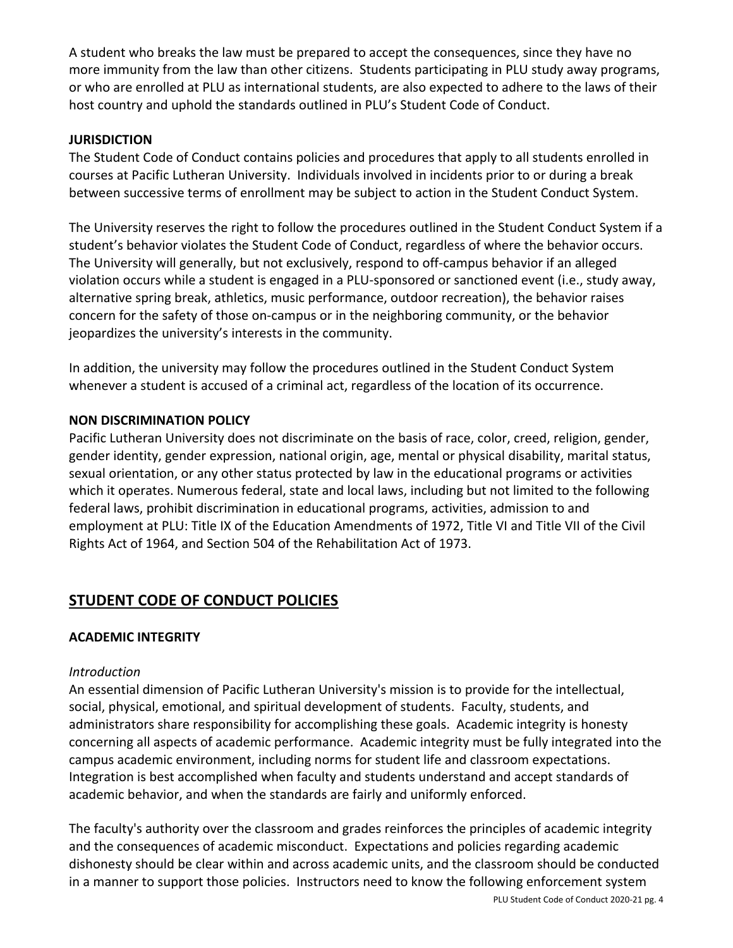A student who breaks the law must be prepared to accept the consequences, since they have no more immunity from the law than other citizens. Students participating in PLU study away programs, or who are enrolled at PLU as international students, are also expected to adhere to the laws of their host country and uphold the standards outlined in PLU's Student Code of Conduct.

#### **JURISDICTION**

The Student Code of Conduct contains policies and procedures that apply to all students enrolled in courses at Pacific Lutheran University. Individuals involved in incidents prior to or during a break between successive terms of enrollment may be subject to action in the Student Conduct System.

The University reserves the right to follow the procedures outlined in the Student Conduct System if a student's behavior violates the Student Code of Conduct, regardless of where the behavior occurs. The University will generally, but not exclusively, respond to off-campus behavior if an alleged violation occurs while a student is engaged in a PLU-sponsored or sanctioned event (i.e., study away, alternative spring break, athletics, music performance, outdoor recreation), the behavior raises concern for the safety of those on-campus or in the neighboring community, or the behavior jeopardizes the university's interests in the community.

In addition, the university may follow the procedures outlined in the Student Conduct System whenever a student is accused of a criminal act, regardless of the location of its occurrence.

## **NON DISCRIMINATION POLICY**

Pacific Lutheran University does not discriminate on the basis of race, color, creed, religion, gender, gender identity, gender expression, national origin, age, mental or physical disability, marital status, sexual orientation, or any other status protected by law in the educational programs or activities which it operates. Numerous federal, state and local laws, including but not limited to the following federal laws, prohibit discrimination in educational programs, activities, admission to and employment at PLU: Title IX of the Education Amendments of 1972, Title VI and Title VII of the Civil Rights Act of 1964, and Section 504 of the Rehabilitation Act of 1973.

# **STUDENT CODE OF CONDUCT POLICIES**

## **ACADEMIC INTEGRITY**

#### *Introduction*

An essential dimension of Pacific Lutheran University's mission is to provide for the intellectual, social, physical, emotional, and spiritual development of students. Faculty, students, and administrators share responsibility for accomplishing these goals. Academic integrity is honesty concerning all aspects of academic performance. Academic integrity must be fully integrated into the campus academic environment, including norms for student life and classroom expectations. Integration is best accomplished when faculty and students understand and accept standards of academic behavior, and when the standards are fairly and uniformly enforced.

The faculty's authority over the classroom and grades reinforces the principles of academic integrity and the consequences of academic misconduct. Expectations and policies regarding academic dishonesty should be clear within and across academic units, and the classroom should be conducted in a manner to support those policies. Instructors need to know the following enforcement system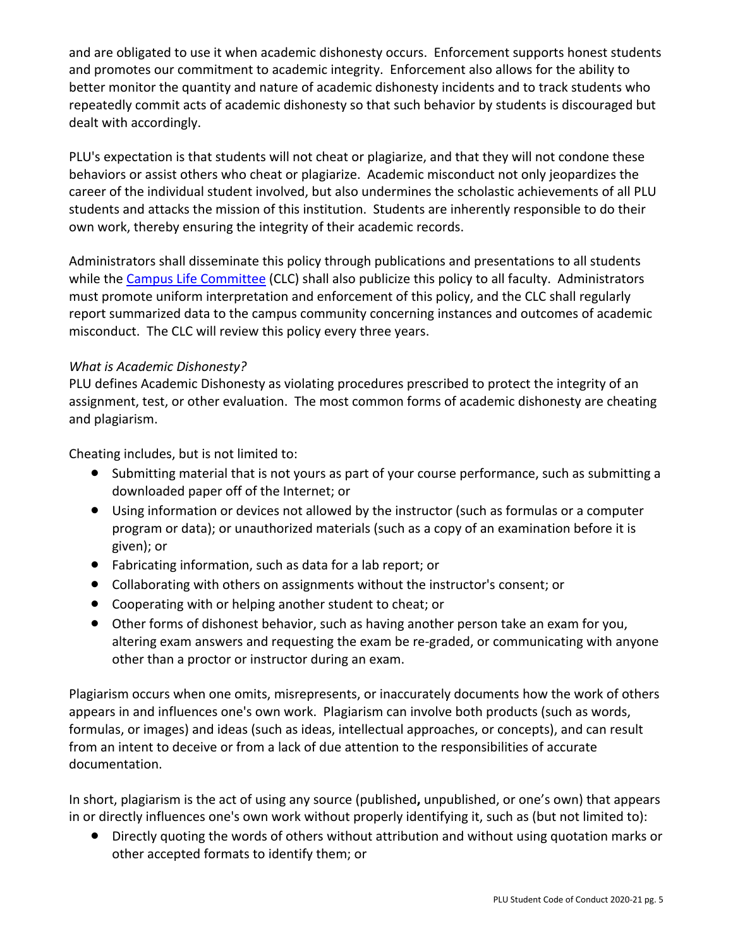and are obligated to use it when academic dishonesty occurs. Enforcement supports honest students and promotes our commitment to academic integrity. Enforcement also allows for the ability to better monitor the quantity and nature of academic dishonesty incidents and to track students who repeatedly commit acts of academic dishonesty so that such behavior by students is discouraged but dealt with accordingly.

PLU's expectation is that students will not cheat or plagiarize, and that they will not condone these behaviors or assist others who cheat or plagiarize. Academic misconduct not only jeopardizes the career of the individual student involved, but also undermines the scholastic achievements of all PLU students and attacks the mission of this institution. Students are inherently responsible to do their own work, thereby ensuring the integrity of their academic records.

Administrators shall disseminate this policy through publications and presentations to all students while the Campus Life Committee (CLC) shall also publicize this policy to all faculty. Administrators must promote uniform interpretation and enforcement of this policy, and the CLC shall regularly report summarized data to the campus community concerning instances and outcomes of academic misconduct. The CLC will review this policy every three years.

### *What is Academic Dishonesty?*

PLU defines Academic Dishonesty as violating procedures prescribed to protect the integrity of an assignment, test, or other evaluation. The most common forms of academic dishonesty are cheating and plagiarism.

Cheating includes, but is not limited to:

- Submitting material that is not yours as part of your course performance, such as submitting a downloaded paper off of the Internet; or
- Using information or devices not allowed by the instructor (such as formulas or a computer program or data); or unauthorized materials (such as a copy of an examination before it is given); or
- Fabricating information, such as data for a lab report; or
- Collaborating with others on assignments without the instructor's consent; or
- Cooperating with or helping another student to cheat; or
- Other forms of dishonest behavior, such as having another person take an exam for you, altering exam answers and requesting the exam be re-graded, or communicating with anyone other than a proctor or instructor during an exam.

Plagiarism occurs when one omits, misrepresents, or inaccurately documents how the work of others appears in and influences one's own work. Plagiarism can involve both products (such as words, formulas, or images) and ideas (such as ideas, intellectual approaches, or concepts), and can result from an intent to deceive or from a lack of due attention to the responsibilities of accurate documentation.

In short, plagiarism is the act of using any source (published**,** unpublished, or one's own) that appears in or directly influences one's own work without properly identifying it, such as (but not limited to):

● Directly quoting the words of others without attribution and without using quotation marks or other accepted formats to identify them; or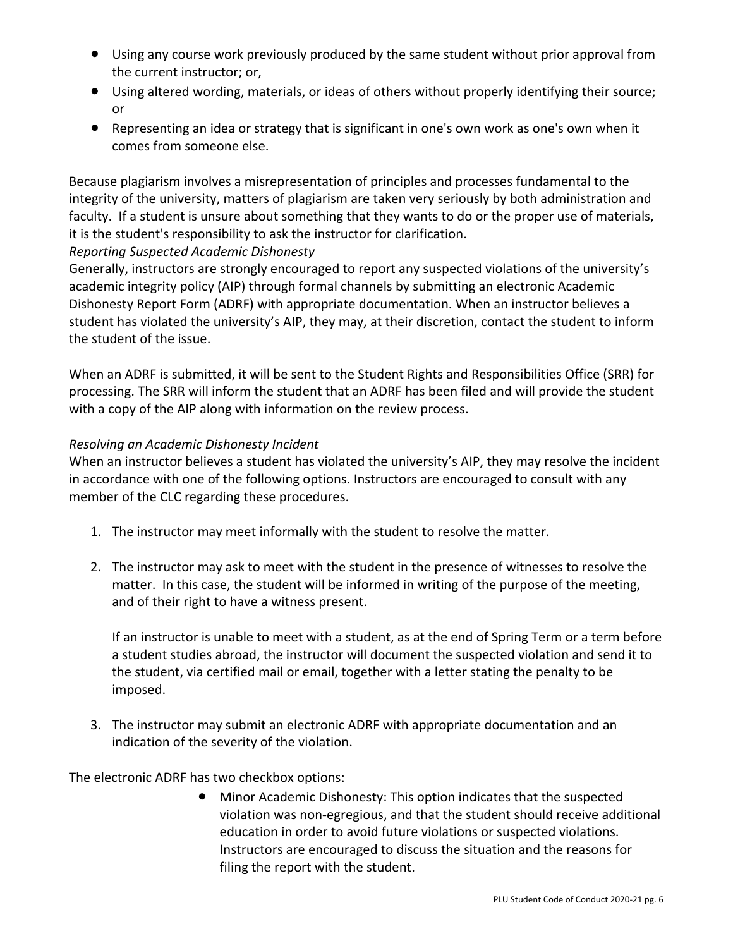- Using any course work previously produced by the same student without prior approval from the current instructor; or,
- Using altered wording, materials, or ideas of others without properly identifying their source; or
- Representing an idea or strategy that is significant in one's own work as one's own when it comes from someone else.

Because plagiarism involves a misrepresentation of principles and processes fundamental to the integrity of the university, matters of plagiarism are taken very seriously by both administration and faculty. If a student is unsure about something that they wants to do or the proper use of materials, it is the student's responsibility to ask the instructor for clarification.

## *Reporting Suspected Academic Dishonesty*

Generally, instructors are strongly encouraged to report any suspected violations of the university's academic integrity policy (AIP) through formal channels by submitting an electronic Academic Dishonesty Report Form (ADRF) with appropriate documentation. When an instructor believes a student has violated the university's AIP, they may, at their discretion, contact the student to inform the student of the issue.

When an ADRF is submitted, it will be sent to the Student Rights and Responsibilities Office (SRR) for processing. The SRR will inform the student that an ADRF has been filed and will provide the student with a copy of the AIP along with information on the review process.

## *Resolving an Academic Dishonesty Incident*

When an instructor believes a student has violated the university's AIP, they may resolve the incident in accordance with one of the following options. Instructors are encouraged to consult with any member of the CLC regarding these procedures.

- 1. The instructor may meet informally with the student to resolve the matter.
- 2. The instructor may ask to meet with the student in the presence of witnesses to resolve the matter. In this case, the student will be informed in writing of the purpose of the meeting, and of their right to have a witness present.

If an instructor is unable to meet with a student, as at the end of Spring Term or a term before a student studies abroad, the instructor will document the suspected violation and send it to the student, via certified mail or email, together with a letter stating the penalty to be imposed.

3. The instructor may submit an electronic ADRF with appropriate documentation and an indication of the severity of the violation.

The electronic ADRF has two checkbox options:

● Minor Academic Dishonesty: This option indicates that the suspected violation was non-egregious, and that the student should receive additional education in order to avoid future violations or suspected violations. Instructors are encouraged to discuss the situation and the reasons for filing the report with the student.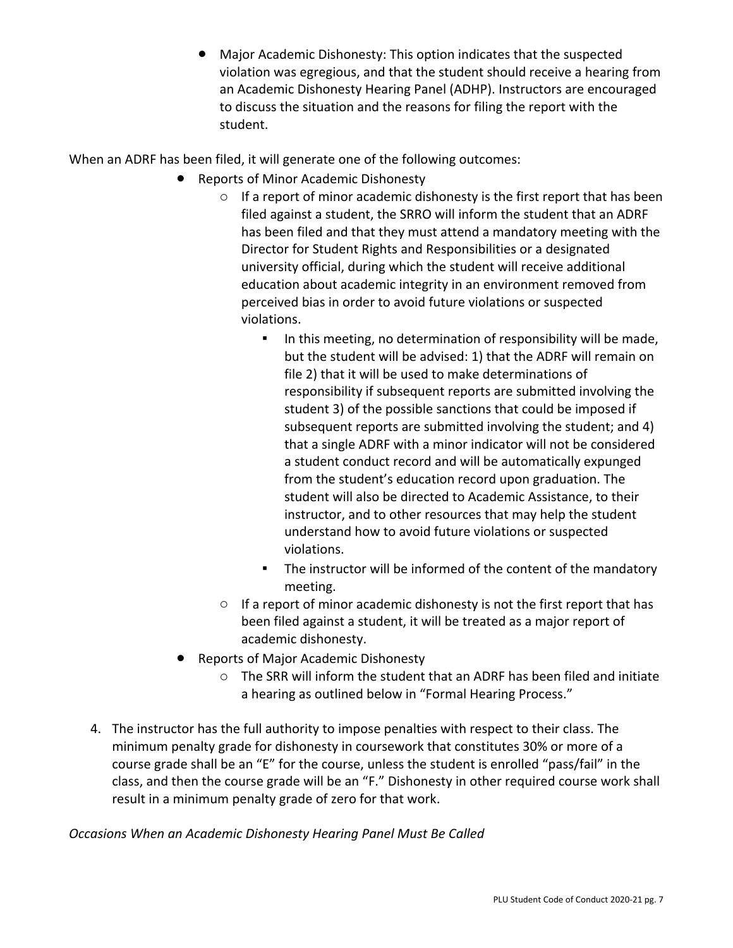Major Academic Dishonesty: This option indicates that the suspected violation was egregious, and that the student should receive a hearing from an Academic Dishonesty Hearing Panel (ADHP). Instructors are encouraged to discuss the situation and the reasons for filing the report with the student.

When an ADRF has been filed, it will generate one of the following outcomes:

- **Reports of Minor Academic Dishonesty** 
	- o If a report of minor academic dishonesty is the first report that has been filed against a student, the SRRO will inform the student that an ADRF has been filed and that they must attend a mandatory meeting with the Director for Student Rights and Responsibilities or a designated university official, during which the student will receive additional education about academic integrity in an environment removed from perceived bias in order to avoid future violations or suspected violations.
		- **•** In this meeting, no determination of responsibility will be made, but the student will be advised: 1) that the ADRF will remain on file 2) that it will be used to make determinations of responsibility if subsequent reports are submitted involving the student 3) of the possible sanctions that could be imposed if subsequent reports are submitted involving the student; and 4) that a single ADRF with a minor indicator will not be considered a student conduct record and will be automatically expunged from the student's education record upon graduation. The student will also be directed to Academic Assistance, to their instructor, and to other resources that may help the student understand how to avoid future violations or suspected violations.
		- The instructor will be informed of the content of the mandatory meeting.
	- $\circ$  If a report of minor academic dishonesty is not the first report that has been filed against a student, it will be treated as a major report of academic dishonesty.
- **Reports of Major Academic Dishonesty** 
	- o The SRR will inform the student that an ADRF has been filed and initiate a hearing as outlined below in "Formal Hearing Process."
- 4. The instructor has the full authority to impose penalties with respect to their class. The minimum penalty grade for dishonesty in coursework that constitutes 30% or more of a course grade shall be an "E" for the course, unless the student is enrolled "pass/fail" in the class, and then the course grade will be an "F." Dishonesty in other required course work shall result in a minimum penalty grade of zero for that work.

*Occasions When an Academic Dishonesty Hearing Panel Must Be Called*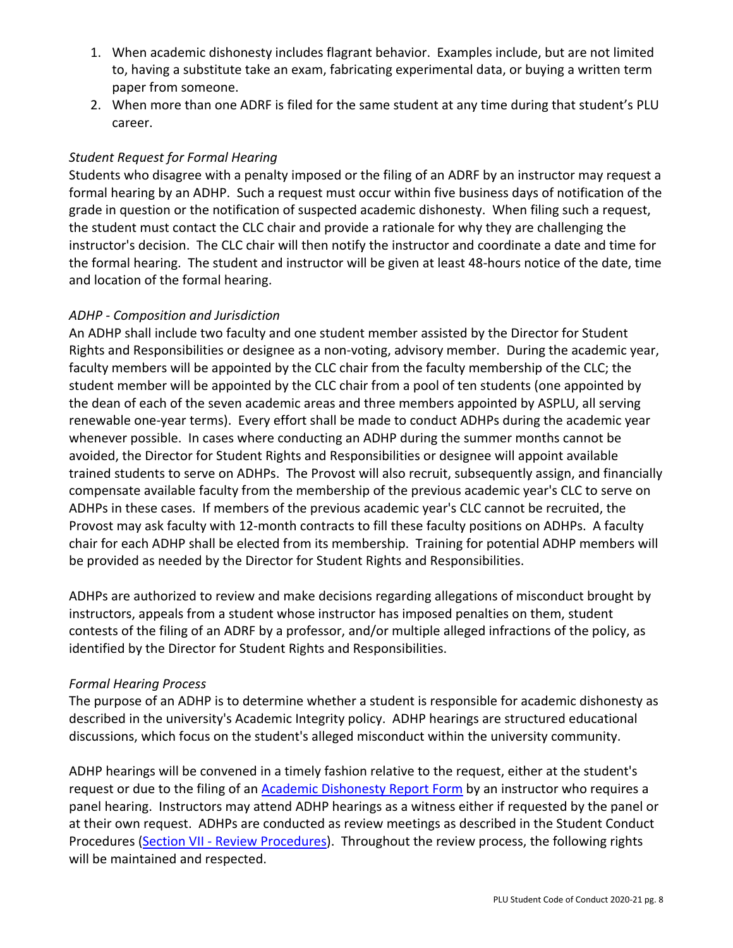- 1. When academic dishonesty includes flagrant behavior. Examples include, but are not limited to, having a substitute take an exam, fabricating experimental data, or buying a written term paper from someone.
- 2. When more than one ADRF is filed for the same student at any time during that student's PLU career.

## *Student Request for Formal Hearing*

Students who disagree with a penalty imposed or the filing of an ADRF by an instructor may request a formal hearing by an ADHP. Such a request must occur within five business days of notification of the grade in question or the notification of suspected academic dishonesty. When filing such a request, the student must contact the CLC chair and provide a rationale for why they are challenging the instructor's decision. The CLC chair will then notify the instructor and coordinate a date and time for the formal hearing. The student and instructor will be given at least 48-hours notice of the date, time and location of the formal hearing.

### *ADHP - Composition and Jurisdiction*

An ADHP shall include two faculty and one student member assisted by the Director for Student Rights and Responsibilities or designee as a non-voting, advisory member. During the academic year, faculty members will be appointed by the CLC chair from the faculty membership of the CLC; the student member will be appointed by the CLC chair from a pool of ten students (one appointed by the dean of each of the seven academic areas and three members appointed by ASPLU, all serving renewable one-year terms). Every effort shall be made to conduct ADHPs during the academic year whenever possible. In cases where conducting an ADHP during the summer months cannot be avoided, the Director for Student Rights and Responsibilities or designee will appoint available trained students to serve on ADHPs. The Provost will also recruit, subsequently assign, and financially compensate available faculty from the membership of the previous academic year's CLC to serve on ADHPs in these cases. If members of the previous academic year's CLC cannot be recruited, the Provost may ask faculty with 12-month contracts to fill these faculty positions on ADHPs. A faculty chair for each ADHP shall be elected from its membership. Training for potential ADHP members will be provided as needed by the Director for Student Rights and Responsibilities.

ADHPs are authorized to review and make decisions regarding allegations of misconduct brought by instructors, appeals from a student whose instructor has imposed penalties on them, student contests of the filing of an ADRF by a professor, and/or multiple alleged infractions of the policy, as identified by the Director for Student Rights and Responsibilities.

#### *Formal Hearing Process*

The purpose of an ADHP is to determine whether a student is responsible for academic dishonesty as described in the university's Academic Integrity policy. ADHP hearings are structured educational discussions, which focus on the student's alleged misconduct within the university community.

ADHP hearings will be convened in a timely fashion relative to the request, either at the student's request or due to the filing of an **Academic Dishonesty Report Form** by an instructor who requires a panel hearing. Instructors may attend ADHP hearings as a witness either if requested by the panel or at their own request. ADHPs are conducted as review meetings as described in the Student Conduct Procedures (Section VII - Review Procedures). Throughout the review process, the following rights will be maintained and respected.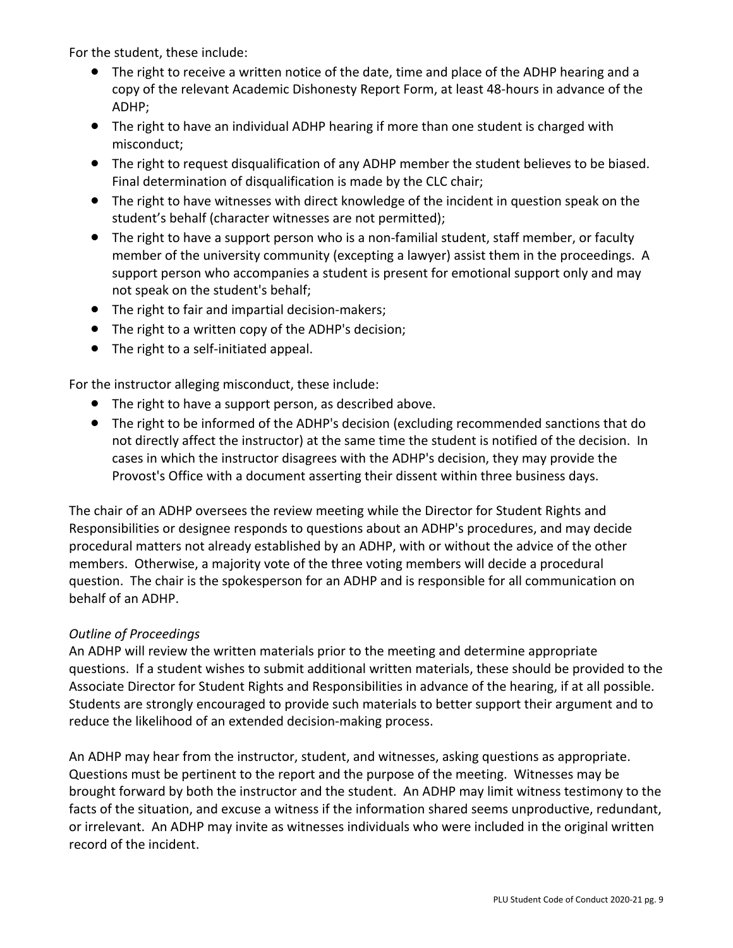For the student, these include:

- The right to receive a written notice of the date, time and place of the ADHP hearing and a copy of the relevant Academic Dishonesty Report Form, at least 48-hours in advance of the ADHP;
- The right to have an individual ADHP hearing if more than one student is charged with misconduct;
- The right to request disqualification of any ADHP member the student believes to be biased. Final determination of disqualification is made by the CLC chair;
- The right to have witnesses with direct knowledge of the incident in question speak on the student's behalf (character witnesses are not permitted);
- The right to have a support person who is a non-familial student, staff member, or faculty member of the university community (excepting a lawyer) assist them in the proceedings. A support person who accompanies a student is present for emotional support only and may not speak on the student's behalf;
- The right to fair and impartial decision-makers;
- The right to a written copy of the ADHP's decision;
- The right to a self-initiated appeal.

For the instructor alleging misconduct, these include:

- The right to have a support person, as described above.
- The right to be informed of the ADHP's decision (excluding recommended sanctions that do not directly affect the instructor) at the same time the student is notified of the decision. In cases in which the instructor disagrees with the ADHP's decision, they may provide the Provost's Office with a document asserting their dissent within three business days.

The chair of an ADHP oversees the review meeting while the Director for Student Rights and Responsibilities or designee responds to questions about an ADHP's procedures, and may decide procedural matters not already established by an ADHP, with or without the advice of the other members. Otherwise, a majority vote of the three voting members will decide a procedural question. The chair is the spokesperson for an ADHP and is responsible for all communication on behalf of an ADHP.

## *Outline of Proceedings*

An ADHP will review the written materials prior to the meeting and determine appropriate questions. If a student wishes to submit additional written materials, these should be provided to the Associate Director for Student Rights and Responsibilities in advance of the hearing, if at all possible. Students are strongly encouraged to provide such materials to better support their argument and to reduce the likelihood of an extended decision-making process.

An ADHP may hear from the instructor, student, and witnesses, asking questions as appropriate. Questions must be pertinent to the report and the purpose of the meeting. Witnesses may be brought forward by both the instructor and the student. An ADHP may limit witness testimony to the facts of the situation, and excuse a witness if the information shared seems unproductive, redundant, or irrelevant. An ADHP may invite as witnesses individuals who were included in the original written record of the incident.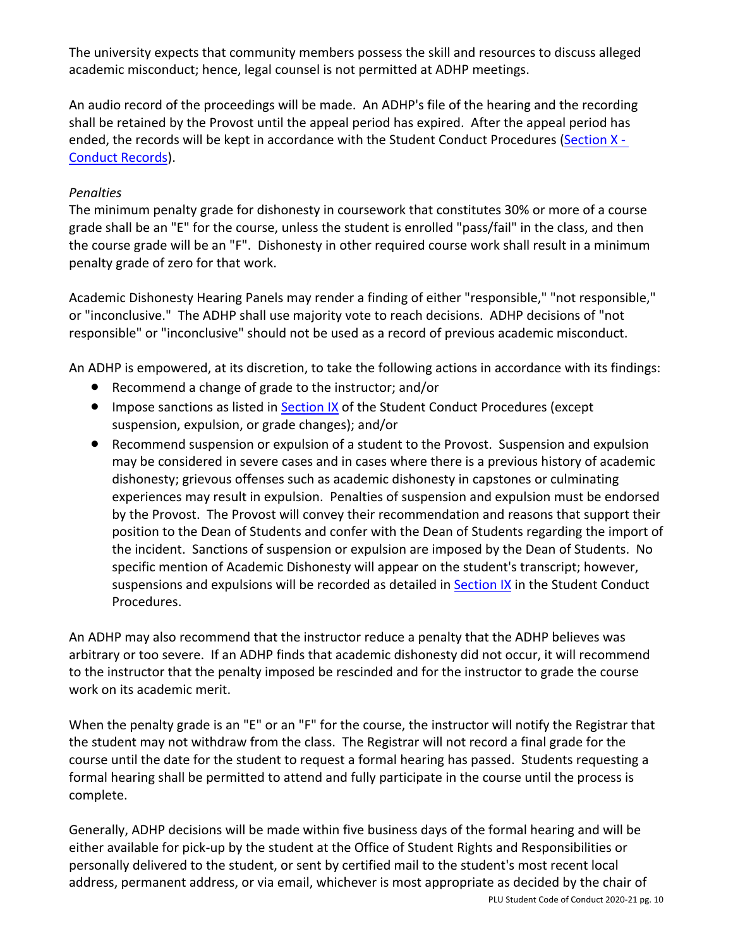The university expects that community members possess the skill and resources to discuss alleged academic misconduct; hence, legal counsel is not permitted at ADHP meetings.

An audio record of the proceedings will be made. An ADHP's file of the hearing and the recording shall be retained by the Provost until the appeal period has expired. After the appeal period has ended, the records will be kept in accordance with the Student Conduct Procedures (Section X - Conduct Records).

### *Penalties*

The minimum penalty grade for dishonesty in coursework that constitutes 30% or more of a course grade shall be an "E" for the course, unless the student is enrolled "pass/fail" in the class, and then the course grade will be an "F". Dishonesty in other required course work shall result in a minimum penalty grade of zero for that work.

Academic Dishonesty Hearing Panels may render a finding of either "responsible," "not responsible," or "inconclusive." The ADHP shall use majority vote to reach decisions. ADHP decisions of "not responsible" or "inconclusive" should not be used as a record of previous academic misconduct.

An ADHP is empowered, at its discretion, to take the following actions in accordance with its findings:

- Recommend a change of grade to the instructor; and/or
- Impose sanctions as listed in Section IX of the Student Conduct Procedures (except suspension, expulsion, or grade changes); and/or
- Recommend suspension or expulsion of a student to the Provost. Suspension and expulsion may be considered in severe cases and in cases where there is a previous history of academic dishonesty; grievous offenses such as academic dishonesty in capstones or culminating experiences may result in expulsion. Penalties of suspension and expulsion must be endorsed by the Provost. The Provost will convey their recommendation and reasons that support their position to the Dean of Students and confer with the Dean of Students regarding the import of the incident. Sanctions of suspension or expulsion are imposed by the Dean of Students. No specific mention of Academic Dishonesty will appear on the student's transcript; however, suspensions and expulsions will be recorded as detailed in Section IX in the Student Conduct Procedures.

An ADHP may also recommend that the instructor reduce a penalty that the ADHP believes was arbitrary or too severe. If an ADHP finds that academic dishonesty did not occur, it will recommend to the instructor that the penalty imposed be rescinded and for the instructor to grade the course work on its academic merit.

When the penalty grade is an "E" or an "F" for the course, the instructor will notify the Registrar that the student may not withdraw from the class. The Registrar will not record a final grade for the course until the date for the student to request a formal hearing has passed. Students requesting a formal hearing shall be permitted to attend and fully participate in the course until the process is complete.

Generally, ADHP decisions will be made within five business days of the formal hearing and will be either available for pick-up by the student at the Office of Student Rights and Responsibilities or personally delivered to the student, or sent by certified mail to the student's most recent local address, permanent address, or via email, whichever is most appropriate as decided by the chair of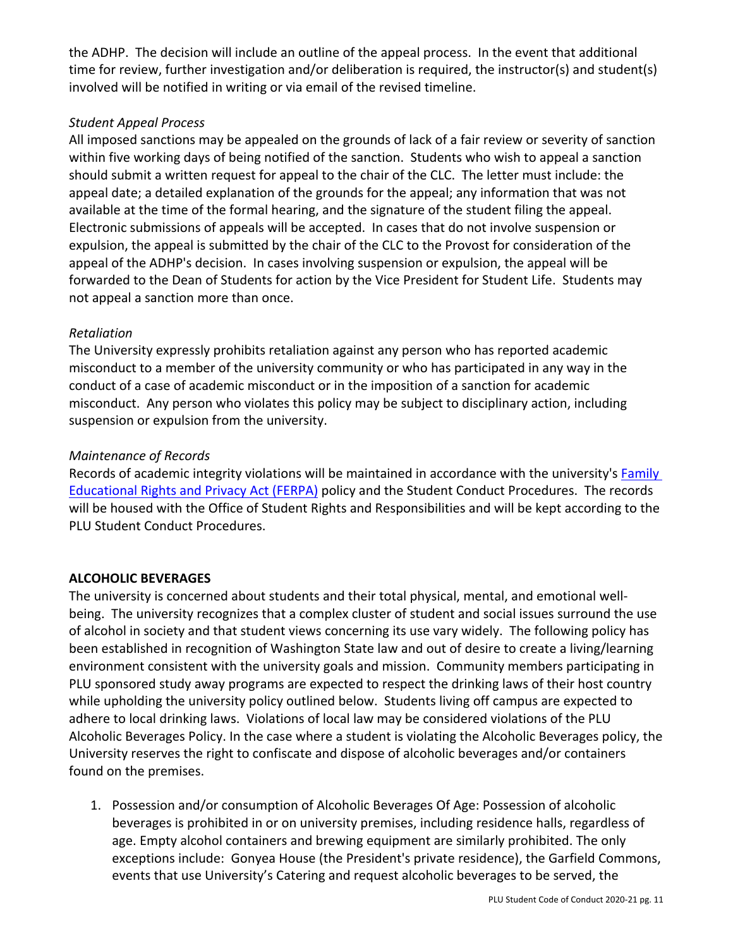the ADHP. The decision will include an outline of the appeal process. In the event that additional time for review, further investigation and/or deliberation is required, the instructor(s) and student(s) involved will be notified in writing or via email of the revised timeline.

### *Student Appeal Process*

All imposed sanctions may be appealed on the grounds of lack of a fair review or severity of sanction within five working days of being notified of the sanction. Students who wish to appeal a sanction should submit a written request for appeal to the chair of the CLC. The letter must include: the appeal date; a detailed explanation of the grounds for the appeal; any information that was not available at the time of the formal hearing, and the signature of the student filing the appeal. Electronic submissions of appeals will be accepted. In cases that do not involve suspension or expulsion, the appeal is submitted by the chair of the CLC to the Provost for consideration of the appeal of the ADHP's decision. In cases involving suspension or expulsion, the appeal will be forwarded to the Dean of Students for action by the Vice President for Student Life. Students may not appeal a sanction more than once.

## *Retaliation*

The University expressly prohibits retaliation against any person who has reported academic misconduct to a member of the university community or who has participated in any way in the conduct of a case of academic misconduct or in the imposition of a sanction for academic misconduct. Any person who violates this policy may be subject to disciplinary action, including suspension or expulsion from the university.

#### *Maintenance of Records*

Records of academic integrity violations will be maintained in accordance with the university's Family Educational Rights and Privacy Act (FERPA) policy and the Student Conduct Procedures. The records will be housed with the Office of Student Rights and Responsibilities and will be kept according to the PLU Student Conduct Procedures.

#### **ALCOHOLIC BEVERAGES**

The university is concerned about students and their total physical, mental, and emotional wellbeing. The university recognizes that a complex cluster of student and social issues surround the use of alcohol in society and that student views concerning its use vary widely. The following policy has been established in recognition of Washington State law and out of desire to create a living/learning environment consistent with the university goals and mission. Community members participating in PLU sponsored study away programs are expected to respect the drinking laws of their host country while upholding the university policy outlined below. Students living off campus are expected to adhere to local drinking laws. Violations of local law may be considered violations of the PLU Alcoholic Beverages Policy. In the case where a student is violating the Alcoholic Beverages policy, the University reserves the right to confiscate and dispose of alcoholic beverages and/or containers found on the premises.

1. Possession and/or consumption of Alcoholic Beverages Of Age: Possession of alcoholic beverages is prohibited in or on university premises, including residence halls, regardless of age. Empty alcohol containers and brewing equipment are similarly prohibited. The only exceptions include: Gonyea House (the President's private residence), the Garfield Commons, events that use University's Catering and request alcoholic beverages to be served, the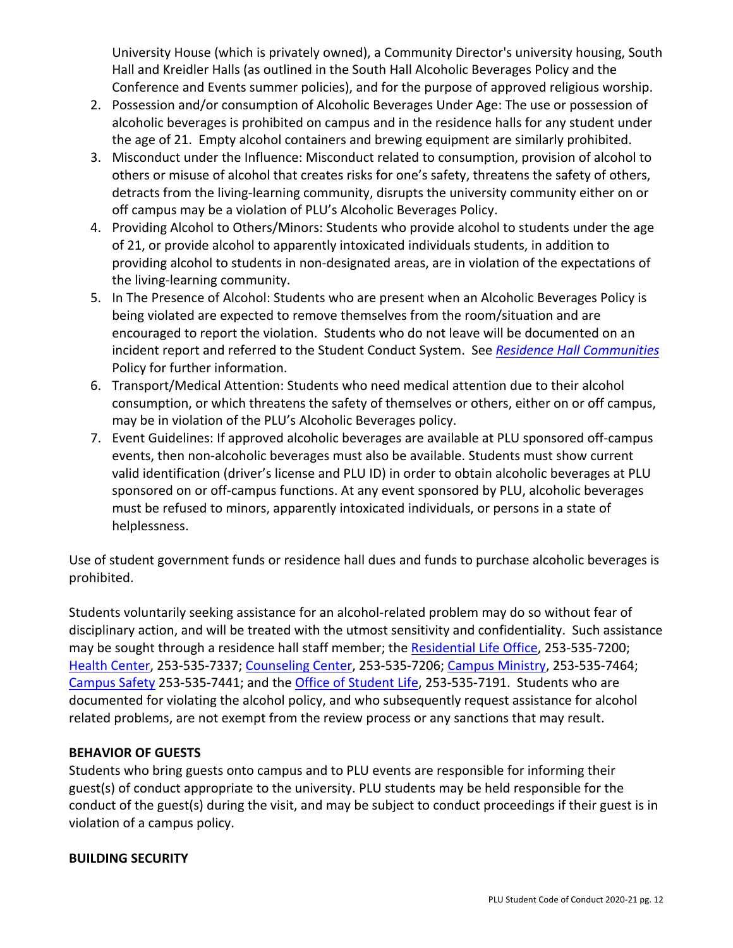University House (which is privately owned), a Community Director's university housing, South Hall and Kreidler Halls (as outlined in the South Hall Alcoholic Beverages Policy and the Conference and Events summer policies), and for the purpose of approved religious worship.

- 2. Possession and/or consumption of Alcoholic Beverages Under Age: The use or possession of alcoholic beverages is prohibited on campus and in the residence halls for any student under the age of 21. Empty alcohol containers and brewing equipment are similarly prohibited.
- 3. Misconduct under the Influence: Misconduct related to consumption, provision of alcohol to others or misuse of alcohol that creates risks for one's safety, threatens the safety of others, detracts from the living-learning community, disrupts the university community either on or off campus may be a violation of PLU's Alcoholic Beverages Policy.
- 4. Providing Alcohol to Others/Minors: Students who provide alcohol to students under the age of 21, or provide alcohol to apparently intoxicated individuals students, in addition to providing alcohol to students in non-designated areas, are in violation of the expectations of the living-learning community.
- 5. In The Presence of Alcohol: Students who are present when an Alcoholic Beverages Policy is being violated are expected to remove themselves from the room/situation and are encouraged to report the violation. Students who do not leave will be documented on an incident report and referred to the Student Conduct System. See *Residence Hall Communities* Policy for further information.
- 6. Transport/Medical Attention: Students who need medical attention due to their alcohol consumption, or which threatens the safety of themselves or others, either on or off campus, may be in violation of the PLU's Alcoholic Beverages policy.
- 7. Event Guidelines: If approved alcoholic beverages are available at PLU sponsored off-campus events, then non-alcoholic beverages must also be available. Students must show current valid identification (driver's license and PLU ID) in order to obtain alcoholic beverages at PLU sponsored on or off-campus functions. At any event sponsored by PLU, alcoholic beverages must be refused to minors, apparently intoxicated individuals, or persons in a state of helplessness.

Use of student government funds or residence hall dues and funds to purchase alcoholic beverages is prohibited.

Students voluntarily seeking assistance for an alcohol-related problem may do so without fear of disciplinary action, and will be treated with the utmost sensitivity and confidentiality. Such assistance may be sought through a residence hall staff member; the Residential Life Office, 253-535-7200; Health Center, 253-535-7337; Counseling Center, 253-535-7206; Campus Ministry, 253-535-7464; Campus Safety 253-535-7441; and the Office of Student Life, 253-535-7191. Students who are documented for violating the alcohol policy, and who subsequently request assistance for alcohol related problems, are not exempt from the review process or any sanctions that may result.

## **BEHAVIOR OF GUESTS**

Students who bring guests onto campus and to PLU events are responsible for informing their guest(s) of conduct appropriate to the university. PLU students may be held responsible for the conduct of the guest(s) during the visit, and may be subject to conduct proceedings if their guest is in violation of a campus policy.

## **BUILDING SECURITY**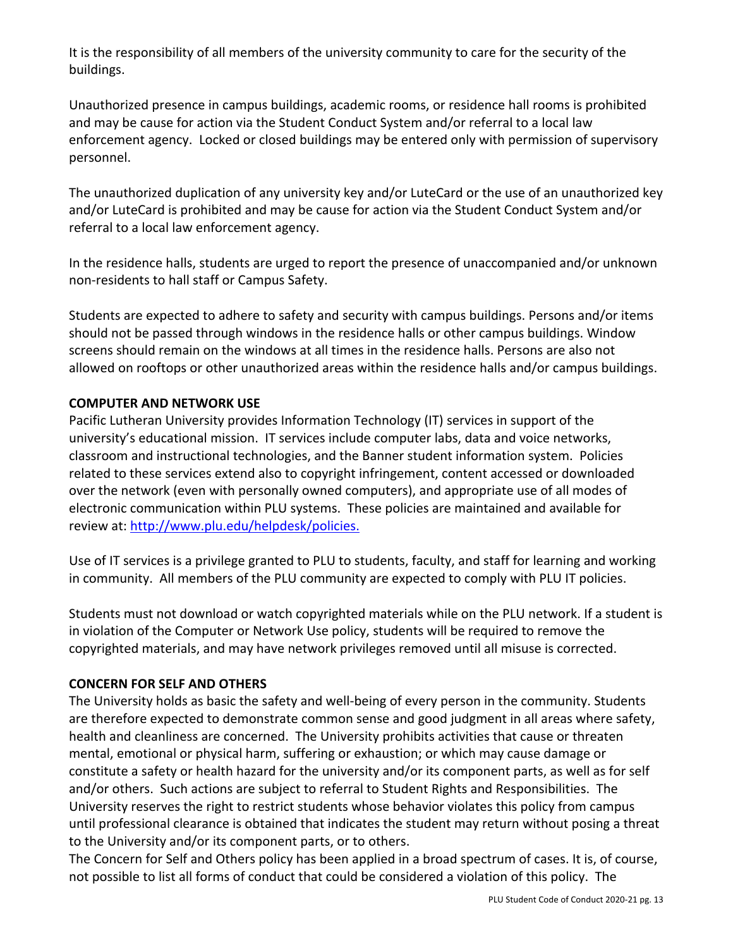It is the responsibility of all members of the university community to care for the security of the buildings.

Unauthorized presence in campus buildings, academic rooms, or residence hall rooms is prohibited and may be cause for action via the Student Conduct System and/or referral to a local law enforcement agency. Locked or closed buildings may be entered only with permission of supervisory personnel.

The unauthorized duplication of any university key and/or LuteCard or the use of an unauthorized key and/or LuteCard is prohibited and may be cause for action via the Student Conduct System and/or referral to a local law enforcement agency.

In the residence halls, students are urged to report the presence of unaccompanied and/or unknown non-residents to hall staff or Campus Safety.

Students are expected to adhere to safety and security with campus buildings. Persons and/or items should not be passed through windows in the residence halls or other campus buildings. Window screens should remain on the windows at all times in the residence halls. Persons are also not allowed on rooftops or other unauthorized areas within the residence halls and/or campus buildings.

### **COMPUTER AND NETWORK USE**

Pacific Lutheran University provides Information Technology (IT) services in support of the university's educational mission. IT services include computer labs, data and voice networks, classroom and instructional technologies, and the Banner student information system. Policies related to these services extend also to copyright infringement, content accessed or downloaded over the network (even with personally owned computers), and appropriate use of all modes of electronic communication within PLU systems. These policies are maintained and available for review at: http://www.plu.edu/helpdesk/policies.

 Use of IT services is a privilege granted to PLU to students, faculty, and staff for learning and working in community. All members of the PLU community are expected to comply with PLU IT policies.

Students must not download or watch copyrighted materials while on the PLU network. If a student is in violation of the Computer or Network Use policy, students will be required to remove the copyrighted materials, and may have network privileges removed until all misuse is corrected.

#### **CONCERN FOR SELF AND OTHERS**

The University holds as basic the safety and well-being of every person in the community. Students are therefore expected to demonstrate common sense and good judgment in all areas where safety, health and cleanliness are concerned. The University prohibits activities that cause or threaten mental, emotional or physical harm, suffering or exhaustion; or which may cause damage or constitute a safety or health hazard for the university and/or its component parts, as well as for self and/or others. Such actions are subject to referral to Student Rights and Responsibilities. The University reserves the right to restrict students whose behavior violates this policy from campus until professional clearance is obtained that indicates the student may return without posing a threat to the University and/or its component parts, or to others.

The Concern for Self and Others policy has been applied in a broad spectrum of cases. It is, of course, not possible to list all forms of conduct that could be considered a violation of this policy. The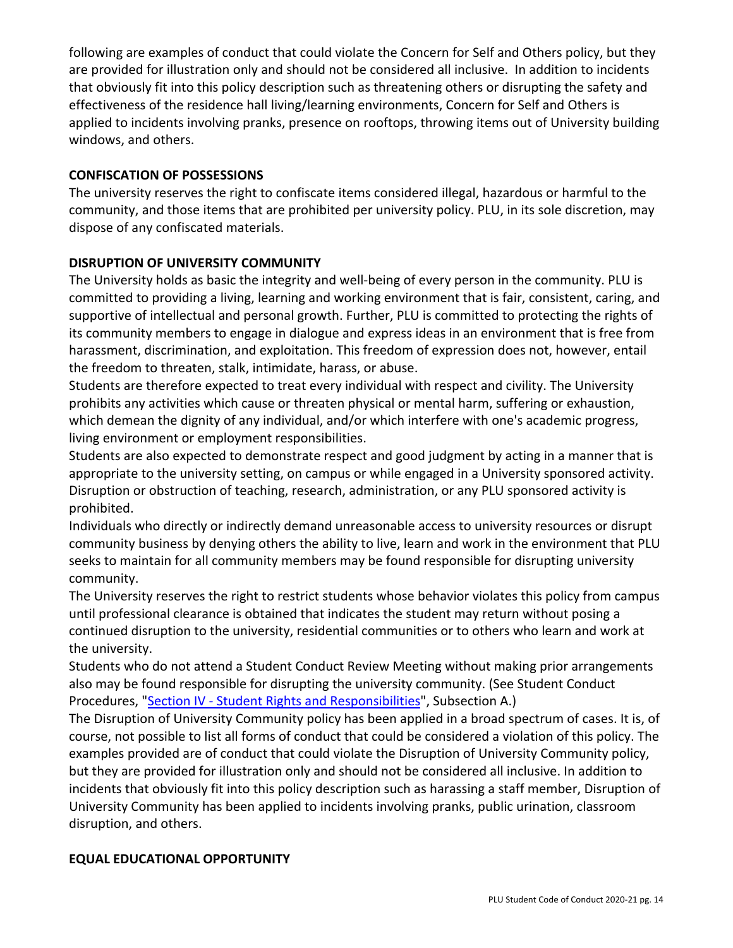following are examples of conduct that could violate the Concern for Self and Others policy, but they are provided for illustration only and should not be considered all inclusive. In addition to incidents that obviously fit into this policy description such as threatening others or disrupting the safety and effectiveness of the residence hall living/learning environments, Concern for Self and Others is applied to incidents involving pranks, presence on rooftops, throwing items out of University building windows, and others.

### **CONFISCATION OF POSSESSIONS**

The university reserves the right to confiscate items considered illegal, hazardous or harmful to the community, and those items that are prohibited per university policy. PLU, in its sole discretion, may dispose of any confiscated materials.

### **DISRUPTION OF UNIVERSITY COMMUNITY**

The University holds as basic the integrity and well-being of every person in the community. PLU is committed to providing a living, learning and working environment that is fair, consistent, caring, and supportive of intellectual and personal growth. Further, PLU is committed to protecting the rights of its community members to engage in dialogue and express ideas in an environment that is free from harassment, discrimination, and exploitation. This freedom of expression does not, however, entail the freedom to threaten, stalk, intimidate, harass, or abuse.

Students are therefore expected to treat every individual with respect and civility. The University prohibits any activities which cause or threaten physical or mental harm, suffering or exhaustion, which demean the dignity of any individual, and/or which interfere with one's academic progress, living environment or employment responsibilities.

Students are also expected to demonstrate respect and good judgment by acting in a manner that is appropriate to the university setting, on campus or while engaged in a University sponsored activity. Disruption or obstruction of teaching, research, administration, or any PLU sponsored activity is prohibited.

Individuals who directly or indirectly demand unreasonable access to university resources or disrupt community business by denying others the ability to live, learn and work in the environment that PLU seeks to maintain for all community members may be found responsible for disrupting university community.

The University reserves the right to restrict students whose behavior violates this policy from campus until professional clearance is obtained that indicates the student may return without posing a continued disruption to the university, residential communities or to others who learn and work at the university.

Students who do not attend a Student Conduct Review Meeting without making prior arrangements also may be found responsible for disrupting the university community. (See Student Conduct Procedures, "Section IV - Student Rights and Responsibilities", Subsection A.)

The Disruption of University Community policy has been applied in a broad spectrum of cases. It is, of course, not possible to list all forms of conduct that could be considered a violation of this policy. The examples provided are of conduct that could violate the Disruption of University Community policy, but they are provided for illustration only and should not be considered all inclusive. In addition to incidents that obviously fit into this policy description such as harassing a staff member, Disruption of University Community has been applied to incidents involving pranks, public urination, classroom disruption, and others.

#### **EQUAL EDUCATIONAL OPPORTUNITY**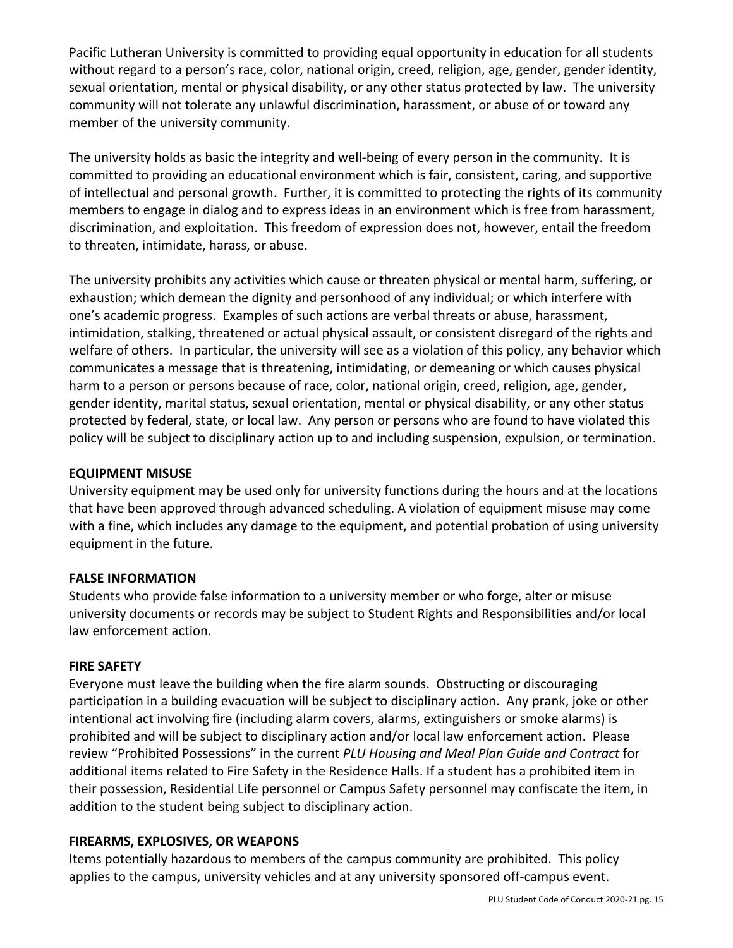Pacific Lutheran University is committed to providing equal opportunity in education for all students without regard to a person's race, color, national origin, creed, religion, age, gender, gender identity, sexual orientation, mental or physical disability, or any other status protected by law. The university community will not tolerate any unlawful discrimination, harassment, or abuse of or toward any member of the university community.

The university holds as basic the integrity and well-being of every person in the community. It is committed to providing an educational environment which is fair, consistent, caring, and supportive of intellectual and personal growth. Further, it is committed to protecting the rights of its community members to engage in dialog and to express ideas in an environment which is free from harassment, discrimination, and exploitation. This freedom of expression does not, however, entail the freedom to threaten, intimidate, harass, or abuse.

The university prohibits any activities which cause or threaten physical or mental harm, suffering, or exhaustion; which demean the dignity and personhood of any individual; or which interfere with one's academic progress. Examples of such actions are verbal threats or abuse, harassment, intimidation, stalking, threatened or actual physical assault, or consistent disregard of the rights and welfare of others. In particular, the university will see as a violation of this policy, any behavior which communicates a message that is threatening, intimidating, or demeaning or which causes physical harm to a person or persons because of race, color, national origin, creed, religion, age, gender, gender identity, marital status, sexual orientation, mental or physical disability, or any other status protected by federal, state, or local law. Any person or persons who are found to have violated this policy will be subject to disciplinary action up to and including suspension, expulsion, or termination.

#### **EQUIPMENT MISUSE**

University equipment may be used only for university functions during the hours and at the locations that have been approved through advanced scheduling. A violation of equipment misuse may come with a fine, which includes any damage to the equipment, and potential probation of using university equipment in the future.

#### **FALSE INFORMATION**

Students who provide false information to a university member or who forge, alter or misuse university documents or records may be subject to Student Rights and Responsibilities and/or local law enforcement action.

#### **FIRE SAFETY**

Everyone must leave the building when the fire alarm sounds. Obstructing or discouraging participation in a building evacuation will be subject to disciplinary action. Any prank, joke or other intentional act involving fire (including alarm covers, alarms, extinguishers or smoke alarms) is prohibited and will be subject to disciplinary action and/or local law enforcement action. Please review "Prohibited Possessions" in the current *PLU Housing and Meal Plan Guide and Contract* for additional items related to Fire Safety in the Residence Halls. If a student has a prohibited item in their possession, Residential Life personnel or Campus Safety personnel may confiscate the item, in addition to the student being subject to disciplinary action.

#### **FIREARMS, EXPLOSIVES, OR WEAPONS**

Items potentially hazardous to members of the campus community are prohibited. This policy applies to the campus, university vehicles and at any university sponsored off-campus event.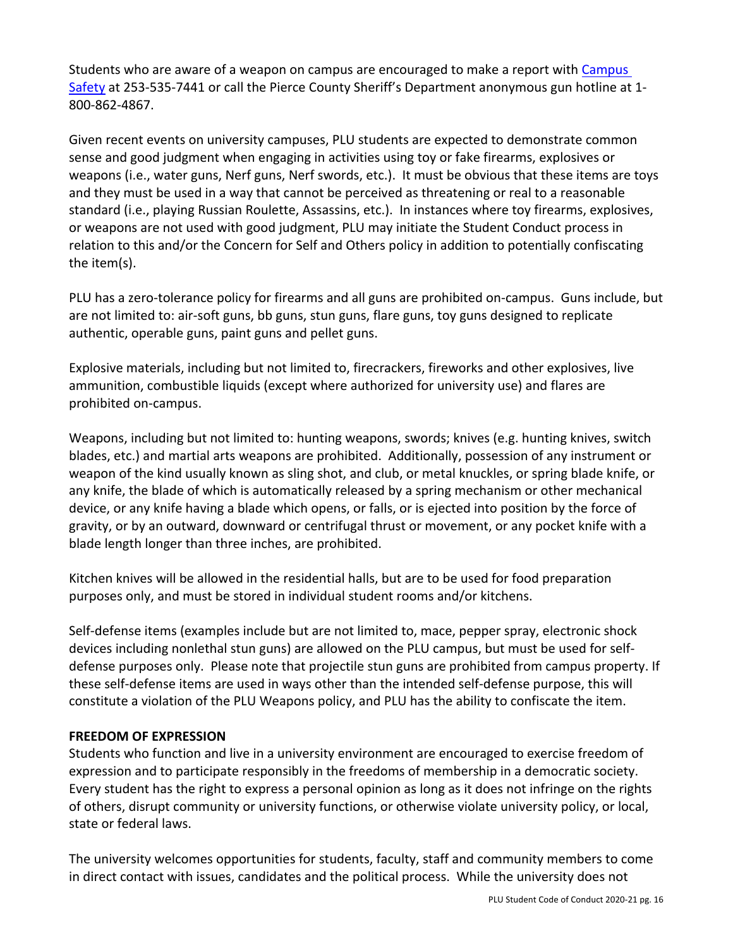Students who are aware of a weapon on campus are encouraged to make a report with Campus Safety at 253-535-7441 or call the Pierce County Sheriff's Department anonymous gun hotline at 1- 800-862-4867.

Given recent events on university campuses, PLU students are expected to demonstrate common sense and good judgment when engaging in activities using toy or fake firearms, explosives or weapons (i.e., water guns, Nerf guns, Nerf swords, etc.). It must be obvious that these items are toys and they must be used in a way that cannot be perceived as threatening or real to a reasonable standard (i.e., playing Russian Roulette, Assassins, etc.). In instances where toy firearms, explosives, or weapons are not used with good judgment, PLU may initiate the Student Conduct process in relation to this and/or the Concern for Self and Others policy in addition to potentially confiscating the item(s).

PLU has a zero-tolerance policy for firearms and all guns are prohibited on-campus. Guns include, but are not limited to: air-soft guns, bb guns, stun guns, flare guns, toy guns designed to replicate authentic, operable guns, paint guns and pellet guns.

Explosive materials, including but not limited to, firecrackers, fireworks and other explosives, live ammunition, combustible liquids (except where authorized for university use) and flares are prohibited on-campus.

Weapons, including but not limited to: hunting weapons, swords; knives (e.g. hunting knives, switch blades, etc.) and martial arts weapons are prohibited. Additionally, possession of any instrument or weapon of the kind usually known as sling shot, and club, or metal knuckles, or spring blade knife, or any knife, the blade of which is automatically released by a spring mechanism or other mechanical device, or any knife having a blade which opens, or falls, or is ejected into position by the force of gravity, or by an outward, downward or centrifugal thrust or movement, or any pocket knife with a blade length longer than three inches, are prohibited.

Kitchen knives will be allowed in the residential halls, but are to be used for food preparation purposes only, and must be stored in individual student rooms and/or kitchens.

Self-defense items (examples include but are not limited to, mace, pepper spray, electronic shock devices including nonlethal stun guns) are allowed on the PLU campus, but must be used for selfdefense purposes only. Please note that projectile stun guns are prohibited from campus property. If these self-defense items are used in ways other than the intended self-defense purpose, this will constitute a violation of the PLU Weapons policy, and PLU has the ability to confiscate the item.

#### **FREEDOM OF EXPRESSION**

Students who function and live in a university environment are encouraged to exercise freedom of expression and to participate responsibly in the freedoms of membership in a democratic society. Every student has the right to express a personal opinion as long as it does not infringe on the rights of others, disrupt community or university functions, or otherwise violate university policy, or local, state or federal laws.

The university welcomes opportunities for students, faculty, staff and community members to come in direct contact with issues, candidates and the political process. While the university does not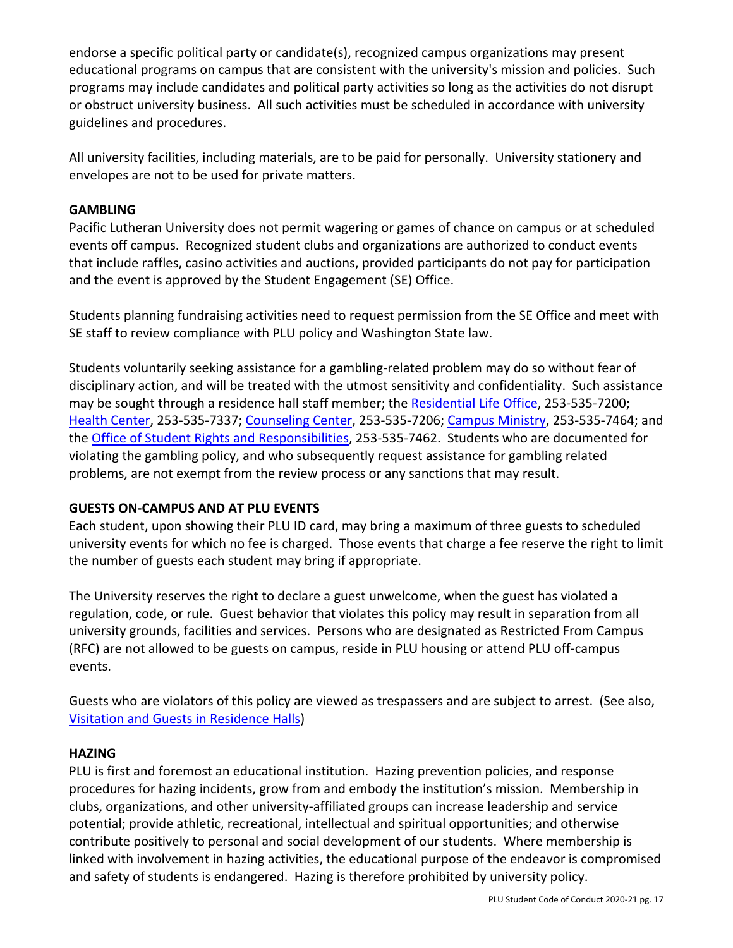endorse a specific political party or candidate(s), recognized campus organizations may present educational programs on campus that are consistent with the university's mission and policies. Such programs may include candidates and political party activities so long as the activities do not disrupt or obstruct university business. All such activities must be scheduled in accordance with university guidelines and procedures.

All university facilities, including materials, are to be paid for personally. University stationery and envelopes are not to be used for private matters.

### **GAMBLING**

Pacific Lutheran University does not permit wagering or games of chance on campus or at scheduled events off campus. Recognized student clubs and organizations are authorized to conduct events that include raffles, casino activities and auctions, provided participants do not pay for participation and the event is approved by the Student Engagement (SE) Office.

Students planning fundraising activities need to request permission from the SE Office and meet with SE staff to review compliance with PLU policy and Washington State law.

Students voluntarily seeking assistance for a gambling-related problem may do so without fear of disciplinary action, and will be treated with the utmost sensitivity and confidentiality. Such assistance may be sought through a residence hall staff member; the Residential Life Office, 253-535-7200; Health Center, 253-535-7337; Counseling Center, 253-535-7206; Campus Ministry, 253-535-7464; and the Office of Student Rights and Responsibilities, 253-535-7462. Students who are documented for violating the gambling policy, and who subsequently request assistance for gambling related problems, are not exempt from the review process or any sanctions that may result.

## **GUESTS ON-CAMPUS AND AT PLU EVENTS**

Each student, upon showing their PLU ID card, may bring a maximum of three guests to scheduled university events for which no fee is charged. Those events that charge a fee reserve the right to limit the number of guests each student may bring if appropriate.

The University reserves the right to declare a guest unwelcome, when the guest has violated a regulation, code, or rule. Guest behavior that violates this policy may result in separation from all university grounds, facilities and services. Persons who are designated as Restricted From Campus (RFC) are not allowed to be guests on campus, reside in PLU housing or attend PLU off-campus events.

Guests who are violators of this policy are viewed as trespassers and are subject to arrest. (See also, Visitation and Guests in Residence Halls)

## **HAZING**

PLU is first and foremost an educational institution. Hazing prevention policies, and response procedures for hazing incidents, grow from and embody the institution's mission. Membership in clubs, organizations, and other university-affiliated groups can increase leadership and service potential; provide athletic, recreational, intellectual and spiritual opportunities; and otherwise contribute positively to personal and social development of our students. Where membership is linked with involvement in hazing activities, the educational purpose of the endeavor is compromised and safety of students is endangered. Hazing is therefore prohibited by university policy.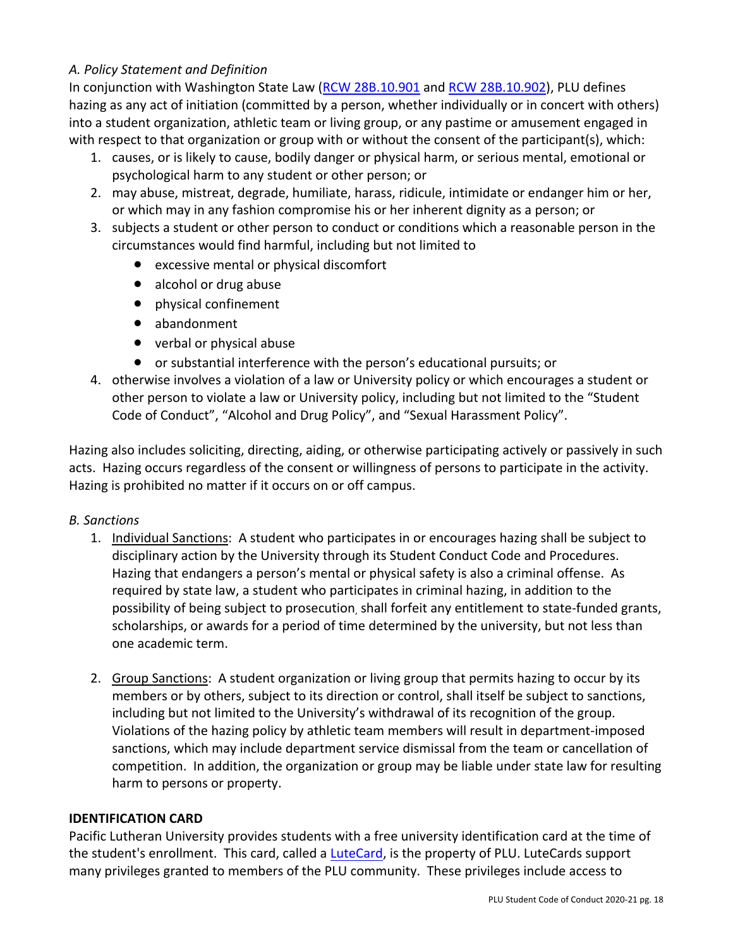### *A. Policy Statement and Definition*

In conjunction with Washington State Law (RCW 28B.10.901 and RCW 28B.10.902), PLU defines hazing as any act of initiation (committed by a person, whether individually or in concert with others) into a student organization, athletic team or living group, or any pastime or amusement engaged in with respect to that organization or group with or without the consent of the participant(s), which:

- 1. causes, or is likely to cause, bodily danger or physical harm, or serious mental, emotional or psychological harm to any student or other person; or
- 2. may abuse, mistreat, degrade, humiliate, harass, ridicule, intimidate or endanger him or her, or which may in any fashion compromise his or her inherent dignity as a person; or
- 3. subjects a student or other person to conduct or conditions which a reasonable person in the circumstances would find harmful, including but not limited to
	- excessive mental or physical discomfort
	- alcohol or drug abuse
	- physical confinement
	- abandonment
	- verbal or physical abuse
	- or substantial interference with the person's educational pursuits; or
- 4. otherwise involves a violation of a law or University policy or which encourages a student or other person to violate a law or University policy, including but not limited to the "Student Code of Conduct", "Alcohol and Drug Policy", and "Sexual Harassment Policy".

Hazing also includes soliciting, directing, aiding, or otherwise participating actively or passively in such acts. Hazing occurs regardless of the consent or willingness of persons to participate in the activity. Hazing is prohibited no matter if it occurs on or off campus.

#### *B. Sanctions*

- 1. Individual Sanctions: A student who participates in or encourages hazing shall be subject to disciplinary action by the University through its Student Conduct Code and Procedures. Hazing that endangers a person's mental or physical safety is also a criminal offense. As required by state law, a student who participates in criminal hazing, in addition to the possibility of being subject to prosecution, shall forfeit any entitlement to state-funded grants, scholarships, or awards for a period of time determined by the university, but not less than one academic term.
- 2. Group Sanctions: A student organization or living group that permits hazing to occur by its members or by others, subject to its direction or control, shall itself be subject to sanctions, including but not limited to the University's withdrawal of its recognition of the group. Violations of the hazing policy by athletic team members will result in department-imposed sanctions, which may include department service dismissal from the team or cancellation of competition. In addition, the organization or group may be liable under state law for resulting harm to persons or property.

#### **IDENTIFICATION CARD**

Pacific Lutheran University provides students with a free university identification card at the time of the student's enrollment. This card, called a LuteCard, is the property of PLU. LuteCards support many privileges granted to members of the PLU community. These privileges include access to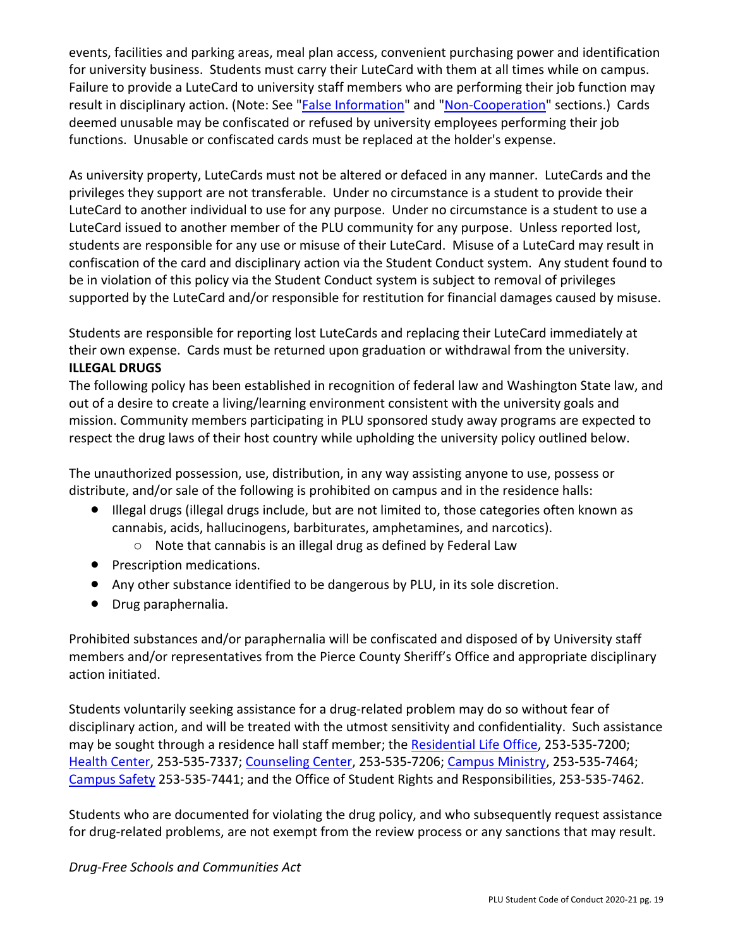events, facilities and parking areas, meal plan access, convenient purchasing power and identification for university business. Students must carry their LuteCard with them at all times while on campus. Failure to provide a LuteCard to university staff members who are performing their job function may result in disciplinary action. (Note: See "False Information" and "Non-Cooperation" sections.) Cards deemed unusable may be confiscated or refused by university employees performing their job functions. Unusable or confiscated cards must be replaced at the holder's expense.

As university property, LuteCards must not be altered or defaced in any manner. LuteCards and the privileges they support are not transferable. Under no circumstance is a student to provide their LuteCard to another individual to use for any purpose. Under no circumstance is a student to use a LuteCard issued to another member of the PLU community for any purpose. Unless reported lost, students are responsible for any use or misuse of their LuteCard. Misuse of a LuteCard may result in confiscation of the card and disciplinary action via the Student Conduct system. Any student found to be in violation of this policy via the Student Conduct system is subject to removal of privileges supported by the LuteCard and/or responsible for restitution for financial damages caused by misuse.

Students are responsible for reporting lost LuteCards and replacing their LuteCard immediately at their own expense. Cards must be returned upon graduation or withdrawal from the university. **ILLEGAL DRUGS** 

The following policy has been established in recognition of federal law and Washington State law, and out of a desire to create a living/learning environment consistent with the university goals and mission. Community members participating in PLU sponsored study away programs are expected to respect the drug laws of their host country while upholding the university policy outlined below.

The unauthorized possession, use, distribution, in any way assisting anyone to use, possess or distribute, and/or sale of the following is prohibited on campus and in the residence halls:

- Illegal drugs (illegal drugs include, but are not limited to, those categories often known as cannabis, acids, hallucinogens, barbiturates, amphetamines, and narcotics).
	- o Note that cannabis is an illegal drug as defined by Federal Law
- Prescription medications.
- Any other substance identified to be dangerous by PLU, in its sole discretion.
- Drug paraphernalia.

Prohibited substances and/or paraphernalia will be confiscated and disposed of by University staff members and/or representatives from the Pierce County Sheriff's Office and appropriate disciplinary action initiated.

Students voluntarily seeking assistance for a drug-related problem may do so without fear of disciplinary action, and will be treated with the utmost sensitivity and confidentiality. Such assistance may be sought through a residence hall staff member; the Residential Life Office, 253-535-7200; Health Center, 253-535-7337; Counseling Center, 253-535-7206; Campus Ministry, 253-535-7464; Campus Safety 253-535-7441; and the Office of Student Rights and Responsibilities, 253-535-7462.

Students who are documented for violating the drug policy, and who subsequently request assistance for drug-related problems, are not exempt from the review process or any sanctions that may result.

#### *Drug-Free Schools and Communities Act*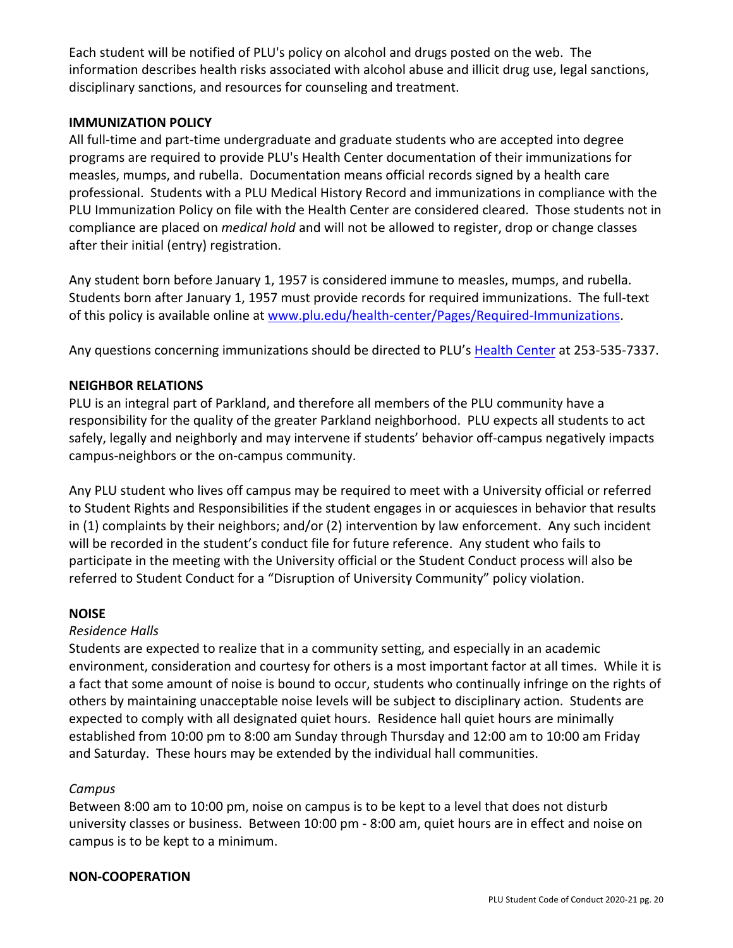Each student will be notified of PLU's policy on alcohol and drugs posted on the web. The information describes health risks associated with alcohol abuse and illicit drug use, legal sanctions, disciplinary sanctions, and resources for counseling and treatment.

#### **IMMUNIZATION POLICY**

All full-time and part-time undergraduate and graduate students who are accepted into degree programs are required to provide PLU's Health Center documentation of their immunizations for measles, mumps, and rubella. Documentation means official records signed by a health care professional. Students with a PLU Medical History Record and immunizations in compliance with the PLU Immunization Policy on file with the Health Center are considered cleared. Those students not in compliance are placed on *medical hold* and will not be allowed to register, drop or change classes after their initial (entry) registration.

Any student born before January 1, 1957 is considered immune to measles, mumps, and rubella. Students born after January 1, 1957 must provide records for required immunizations. The full-text of this policy is available online at www.plu.edu/health-center/Pages/Required-Immunizations.

Any questions concerning immunizations should be directed to PLU's Health Center at 253-535-7337.

### **NEIGHBOR RELATIONS**

PLU is an integral part of Parkland, and therefore all members of the PLU community have a responsibility for the quality of the greater Parkland neighborhood. PLU expects all students to act safely, legally and neighborly and may intervene if students' behavior off-campus negatively impacts campus-neighbors or the on-campus community.

Any PLU student who lives off campus may be required to meet with a University official or referred to Student Rights and Responsibilities if the student engages in or acquiesces in behavior that results in (1) complaints by their neighbors; and/or (2) intervention by law enforcement. Any such incident will be recorded in the student's conduct file for future reference. Any student who fails to participate in the meeting with the University official or the Student Conduct process will also be referred to Student Conduct for a "Disruption of University Community" policy violation.

#### **NOISE**

#### *Residence Halls*

Students are expected to realize that in a community setting, and especially in an academic environment, consideration and courtesy for others is a most important factor at all times. While it is a fact that some amount of noise is bound to occur, students who continually infringe on the rights of others by maintaining unacceptable noise levels will be subject to disciplinary action. Students are expected to comply with all designated quiet hours. Residence hall quiet hours are minimally established from 10:00 pm to 8:00 am Sunday through Thursday and 12:00 am to 10:00 am Friday and Saturday. These hours may be extended by the individual hall communities.

#### *Campus*

Between 8:00 am to 10:00 pm, noise on campus is to be kept to a level that does not disturb university classes or business. Between 10:00 pm - 8:00 am, quiet hours are in effect and noise on campus is to be kept to a minimum.

#### **NON-COOPERATION**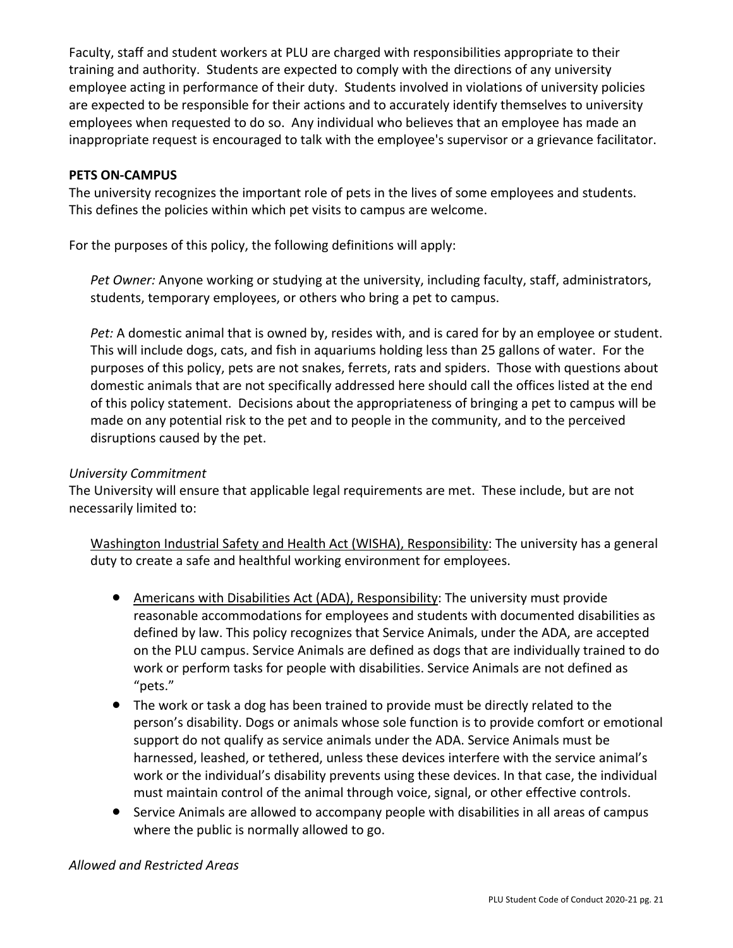Faculty, staff and student workers at PLU are charged with responsibilities appropriate to their training and authority. Students are expected to comply with the directions of any university employee acting in performance of their duty. Students involved in violations of university policies are expected to be responsible for their actions and to accurately identify themselves to university employees when requested to do so. Any individual who believes that an employee has made an inappropriate request is encouraged to talk with the employee's supervisor or a grievance facilitator.

### **PETS ON-CAMPUS**

The university recognizes the important role of pets in the lives of some employees and students. This defines the policies within which pet visits to campus are welcome.

For the purposes of this policy, the following definitions will apply:

*Pet Owner:* Anyone working or studying at the university, including faculty, staff, administrators, students, temporary employees, or others who bring a pet to campus.

*Pet:* A domestic animal that is owned by, resides with, and is cared for by an employee or student. This will include dogs, cats, and fish in aquariums holding less than 25 gallons of water. For the purposes of this policy, pets are not snakes, ferrets, rats and spiders. Those with questions about domestic animals that are not specifically addressed here should call the offices listed at the end of this policy statement. Decisions about the appropriateness of bringing a pet to campus will be made on any potential risk to the pet and to people in the community, and to the perceived disruptions caused by the pet.

### *University Commitment*

The University will ensure that applicable legal requirements are met. These include, but are not necessarily limited to:

Washington Industrial Safety and Health Act (WISHA), Responsibility: The university has a general duty to create a safe and healthful working environment for employees.

- Americans with Disabilities Act (ADA), Responsibility: The university must provide reasonable accommodations for employees and students with documented disabilities as defined by law. This policy recognizes that Service Animals, under the ADA, are accepted on the PLU campus. Service Animals are defined as dogs that are individually trained to do work or perform tasks for people with disabilities. Service Animals are not defined as "pets."
- The work or task a dog has been trained to provide must be directly related to the person's disability. Dogs or animals whose sole function is to provide comfort or emotional support do not qualify as service animals under the ADA. Service Animals must be harnessed, leashed, or tethered, unless these devices interfere with the service animal's work or the individual's disability prevents using these devices. In that case, the individual must maintain control of the animal through voice, signal, or other effective controls.
- Service Animals are allowed to accompany people with disabilities in all areas of campus where the public is normally allowed to go.

#### *Allowed and Restricted Areas*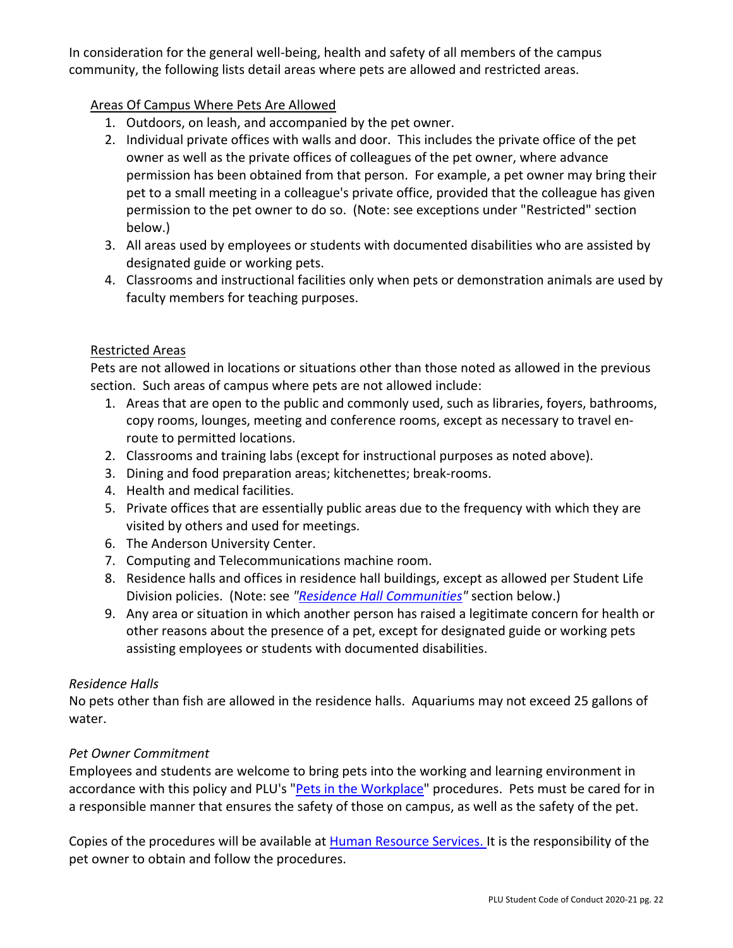In consideration for the general well-being, health and safety of all members of the campus community, the following lists detail areas where pets are allowed and restricted areas.

### Areas Of Campus Where Pets Are Allowed

- 1. Outdoors, on leash, and accompanied by the pet owner.
- 2. Individual private offices with walls and door. This includes the private office of the pet owner as well as the private offices of colleagues of the pet owner, where advance permission has been obtained from that person. For example, a pet owner may bring their pet to a small meeting in a colleague's private office, provided that the colleague has given permission to the pet owner to do so. (Note: see exceptions under "Restricted" section below.)
- 3. All areas used by employees or students with documented disabilities who are assisted by designated guide or working pets.
- 4. Classrooms and instructional facilities only when pets or demonstration animals are used by faculty members for teaching purposes.

### Restricted Areas

Pets are not allowed in locations or situations other than those noted as allowed in the previous section. Such areas of campus where pets are not allowed include:

- 1. Areas that are open to the public and commonly used, such as libraries, foyers, bathrooms, copy rooms, lounges, meeting and conference rooms, except as necessary to travel enroute to permitted locations.
- 2. Classrooms and training labs (except for instructional purposes as noted above).
- 3. Dining and food preparation areas; kitchenettes; break-rooms.
- 4. Health and medical facilities.
- 5. Private offices that are essentially public areas due to the frequency with which they are visited by others and used for meetings.
- 6. The Anderson University Center.
- 7. Computing and Telecommunications machine room.
- 8. Residence halls and offices in residence hall buildings, except as allowed per Student Life Division policies. (Note: see *"Residence Hall Communities"* section below.)
- 9. Any area or situation in which another person has raised a legitimate concern for health or other reasons about the presence of a pet, except for designated guide or working pets assisting employees or students with documented disabilities.

## *Residence Halls*

No pets other than fish are allowed in the residence halls. Aquariums may not exceed 25 gallons of water.

## *Pet Owner Commitment*

Employees and students are welcome to bring pets into the working and learning environment in accordance with this policy and PLU's "Pets in the Workplace" procedures. Pets must be cared for in a responsible manner that ensures the safety of those on campus, as well as the safety of the pet.

Copies of the procedures will be available at Human Resource Services. It is the responsibility of the pet owner to obtain and follow the procedures.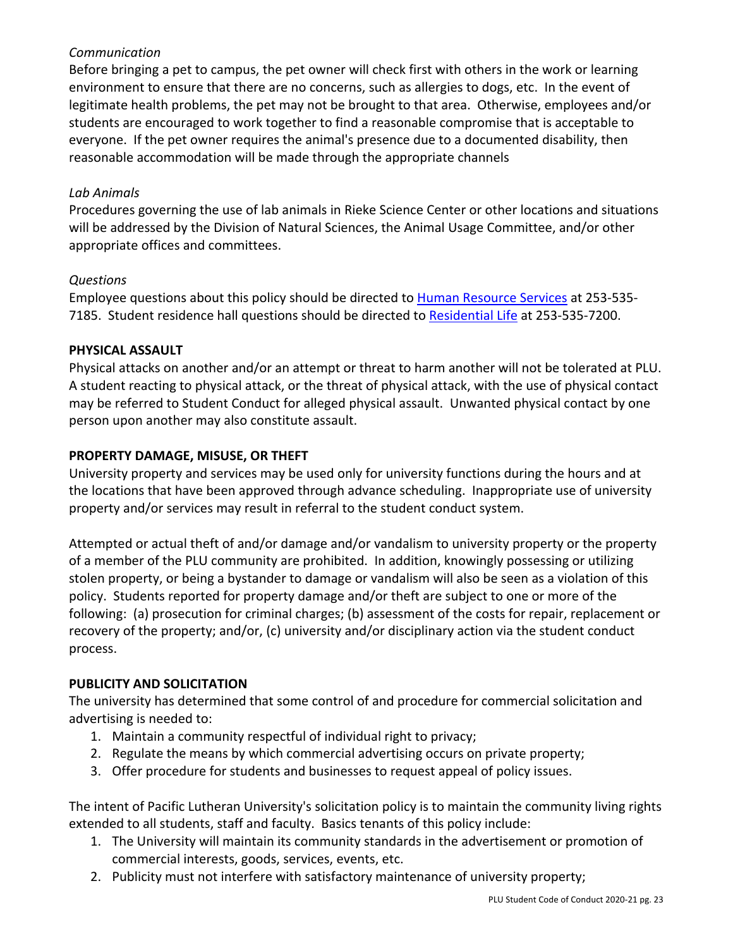## *Communication*

Before bringing a pet to campus, the pet owner will check first with others in the work or learning environment to ensure that there are no concerns, such as allergies to dogs, etc. In the event of legitimate health problems, the pet may not be brought to that area. Otherwise, employees and/or students are encouraged to work together to find a reasonable compromise that is acceptable to everyone. If the pet owner requires the animal's presence due to a documented disability, then reasonable accommodation will be made through the appropriate channels

#### *Lab Animals*

Procedures governing the use of lab animals in Rieke Science Center or other locations and situations will be addressed by the Division of Natural Sciences, the Animal Usage Committee, and/or other appropriate offices and committees.

#### *Questions*

Employee questions about this policy should be directed to Human Resource Services at 253-535- 7185. Student residence hall questions should be directed to Residential Life at 253-535-7200.

#### **PHYSICAL ASSAULT**

Physical attacks on another and/or an attempt or threat to harm another will not be tolerated at PLU. A student reacting to physical attack, or the threat of physical attack, with the use of physical contact may be referred to Student Conduct for alleged physical assault. Unwanted physical contact by one person upon another may also constitute assault.

#### **PROPERTY DAMAGE, MISUSE, OR THEFT**

University property and services may be used only for university functions during the hours and at the locations that have been approved through advance scheduling. Inappropriate use of university property and/or services may result in referral to the student conduct system.

Attempted or actual theft of and/or damage and/or vandalism to university property or the property of a member of the PLU community are prohibited. In addition, knowingly possessing or utilizing stolen property, or being a bystander to damage or vandalism will also be seen as a violation of this policy. Students reported for property damage and/or theft are subject to one or more of the following: (a) prosecution for criminal charges; (b) assessment of the costs for repair, replacement or recovery of the property; and/or, (c) university and/or disciplinary action via the student conduct process.

#### **PUBLICITY AND SOLICITATION**

The university has determined that some control of and procedure for commercial solicitation and advertising is needed to:

- 1. Maintain a community respectful of individual right to privacy;
- 2. Regulate the means by which commercial advertising occurs on private property;
- 3. Offer procedure for students and businesses to request appeal of policy issues.

The intent of Pacific Lutheran University's solicitation policy is to maintain the community living rights extended to all students, staff and faculty. Basics tenants of this policy include:

- 1. The University will maintain its community standards in the advertisement or promotion of commercial interests, goods, services, events, etc.
- 2. Publicity must not interfere with satisfactory maintenance of university property;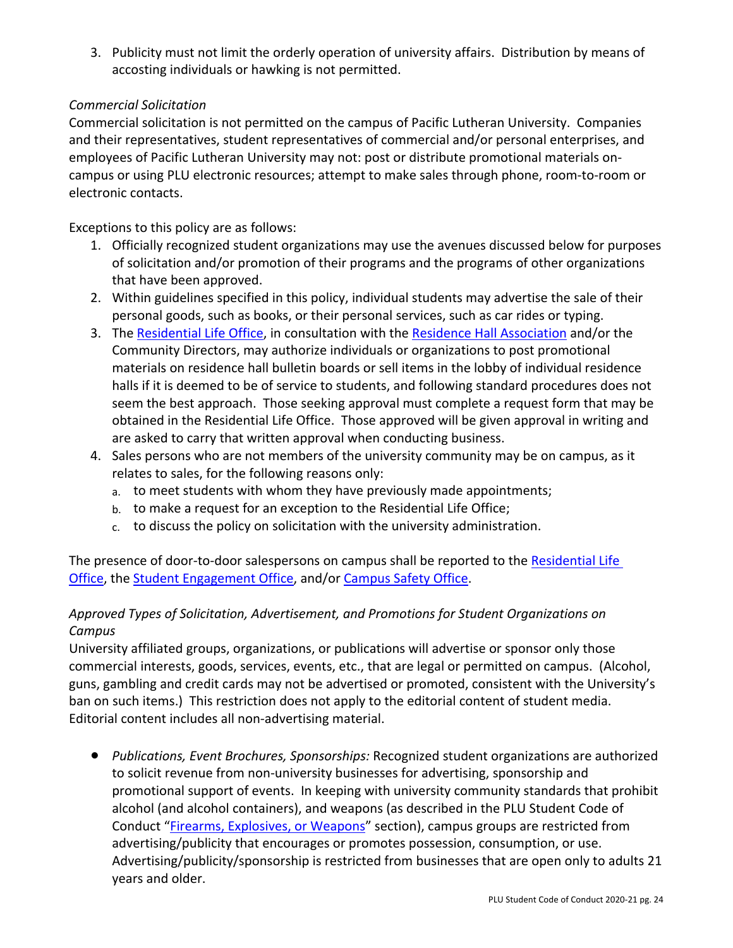3. Publicity must not limit the orderly operation of university affairs. Distribution by means of accosting individuals or hawking is not permitted.

## *Commercial Solicitation*

Commercial solicitation is not permitted on the campus of Pacific Lutheran University. Companies and their representatives, student representatives of commercial and/or personal enterprises, and employees of Pacific Lutheran University may not: post or distribute promotional materials oncampus or using PLU electronic resources; attempt to make sales through phone, room-to-room or electronic contacts.

Exceptions to this policy are as follows:

- 1. Officially recognized student organizations may use the avenues discussed below for purposes of solicitation and/or promotion of their programs and the programs of other organizations that have been approved.
- 2. Within guidelines specified in this policy, individual students may advertise the sale of their personal goods, such as books, or their personal services, such as car rides or typing.
- 3. The Residential Life Office, in consultation with the Residence Hall Association and/or the Community Directors, may authorize individuals or organizations to post promotional materials on residence hall bulletin boards or sell items in the lobby of individual residence halls if it is deemed to be of service to students, and following standard procedures does not seem the best approach. Those seeking approval must complete a request form that may be obtained in the Residential Life Office. Those approved will be given approval in writing and are asked to carry that written approval when conducting business.
- 4. Sales persons who are not members of the university community may be on campus, as it relates to sales, for the following reasons only:
	- a. to meet students with whom they have previously made appointments;
	- b. to make a request for an exception to the Residential Life Office;
	- c. to discuss the policy on solicitation with the university administration.

The presence of door-to-door salespersons on campus shall be reported to the Residential Life Office, the Student Engagement Office, and/or Campus Safety Office.

## *Approved Types of Solicitation, Advertisement, and Promotions for Student Organizations on Campus*

University affiliated groups, organizations, or publications will advertise or sponsor only those commercial interests, goods, services, events, etc., that are legal or permitted on campus. (Alcohol, guns, gambling and credit cards may not be advertised or promoted, consistent with the University's ban on such items.) This restriction does not apply to the editorial content of student media. Editorial content includes all non-advertising material.

● *Publications, Event Brochures, Sponsorships:* Recognized student organizations are authorized to solicit revenue from non-university businesses for advertising, sponsorship and promotional support of events. In keeping with university community standards that prohibit alcohol (and alcohol containers), and weapons (as described in the PLU Student Code of Conduct "Firearms, Explosives, or Weapons" section), campus groups are restricted from advertising/publicity that encourages or promotes possession, consumption, or use. Advertising/publicity/sponsorship is restricted from businesses that are open only to adults 21 years and older.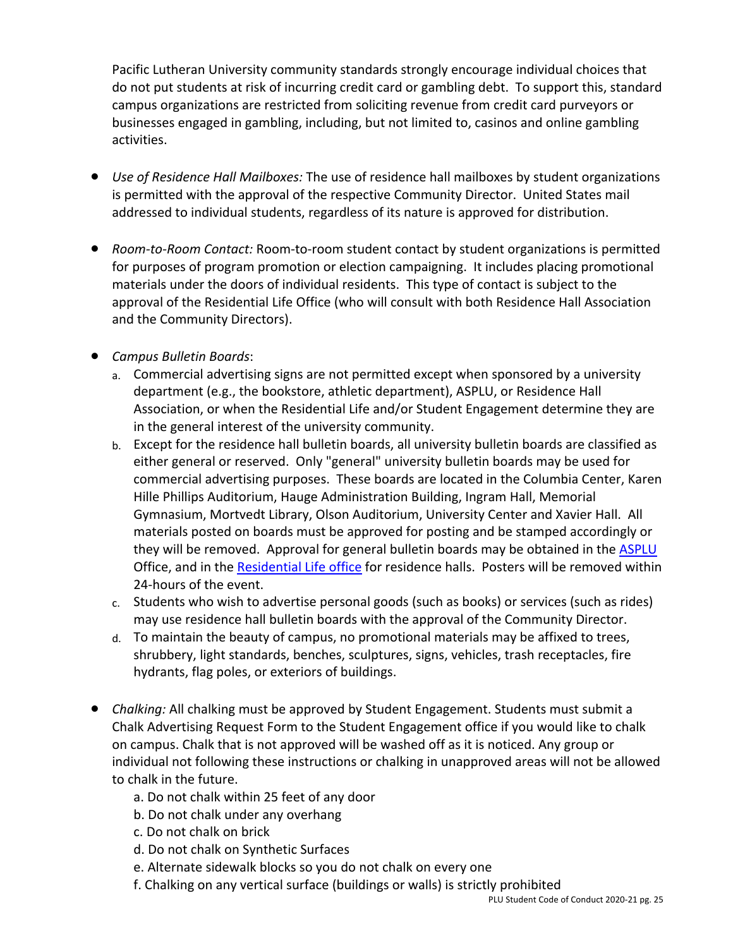Pacific Lutheran University community standards strongly encourage individual choices that do not put students at risk of incurring credit card or gambling debt. To support this, standard campus organizations are restricted from soliciting revenue from credit card purveyors or businesses engaged in gambling, including, but not limited to, casinos and online gambling activities.

- *Use of Residence Hall Mailboxes:* The use of residence hall mailboxes by student organizations is permitted with the approval of the respective Community Director. United States mail addressed to individual students, regardless of its nature is approved for distribution.
- *Room-to-Room Contact:* Room-to-room student contact by student organizations is permitted for purposes of program promotion or election campaigning. It includes placing promotional materials under the doors of individual residents. This type of contact is subject to the approval of the Residential Life Office (who will consult with both Residence Hall Association and the Community Directors).
- *Campus Bulletin Boards*:
	- a. Commercial advertising signs are not permitted except when sponsored by a university department (e.g., the bookstore, athletic department), ASPLU, or Residence Hall Association, or when the Residential Life and/or Student Engagement determine they are in the general interest of the university community.
	- b. Except for the residence hall bulletin boards, all university bulletin boards are classified as either general or reserved. Only "general" university bulletin boards may be used for commercial advertising purposes. These boards are located in the Columbia Center, Karen Hille Phillips Auditorium, Hauge Administration Building, Ingram Hall, Memorial Gymnasium, Mortvedt Library, Olson Auditorium, University Center and Xavier Hall. All materials posted on boards must be approved for posting and be stamped accordingly or they will be removed. Approval for general bulletin boards may be obtained in the ASPLU Office, and in the Residential Life office for residence halls. Posters will be removed within 24-hours of the event.
	- c. Students who wish to advertise personal goods (such as books) or services (such as rides) may use residence hall bulletin boards with the approval of the Community Director.
	- d. To maintain the beauty of campus, no promotional materials may be affixed to trees, shrubbery, light standards, benches, sculptures, signs, vehicles, trash receptacles, fire hydrants, flag poles, or exteriors of buildings.
- *Chalking:* All chalking must be approved by Student Engagement. Students must submit a Chalk Advertising Request Form to the Student Engagement office if you would like to chalk on campus. Chalk that is not approved will be washed off as it is noticed. Any group or individual not following these instructions or chalking in unapproved areas will not be allowed to chalk in the future.
	- a. Do not chalk within 25 feet of any door
	- b. Do not chalk under any overhang
	- c. Do not chalk on brick
	- d. Do not chalk on Synthetic Surfaces
	- e. Alternate sidewalk blocks so you do not chalk on every one
	- f. Chalking on any vertical surface (buildings or walls) is strictly prohibited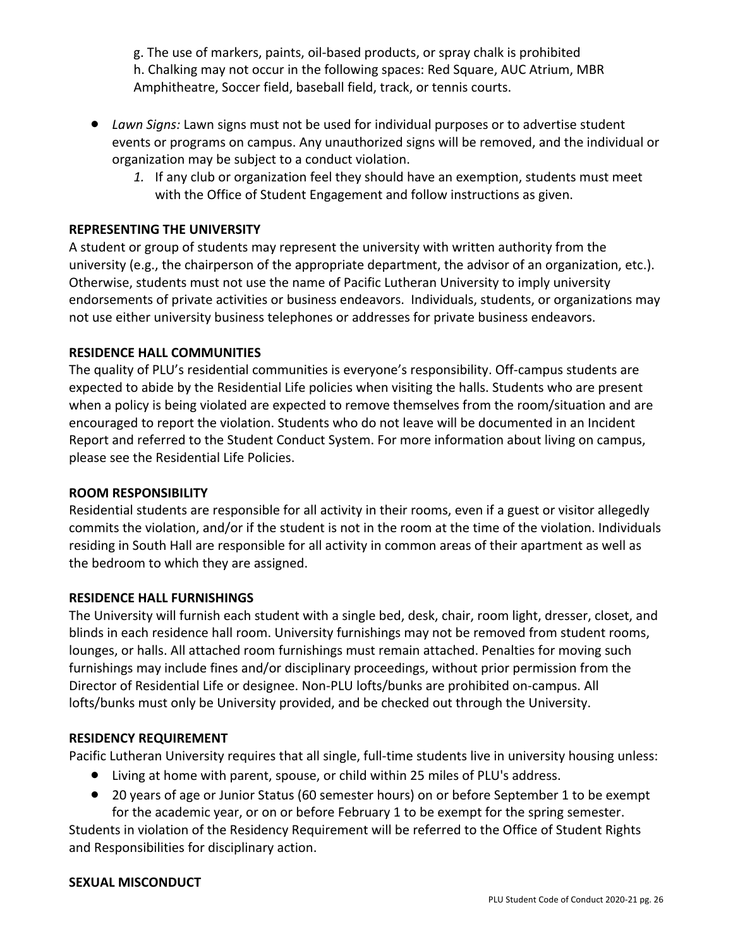g. The use of markers, paints, oil-based products, or spray chalk is prohibited h. Chalking may not occur in the following spaces: Red Square, AUC Atrium, MBR Amphitheatre, Soccer field, baseball field, track, or tennis courts.

- *Lawn Signs:* Lawn signs must not be used for individual purposes or to advertise student events or programs on campus. Any unauthorized signs will be removed, and the individual or organization may be subject to a conduct violation.
	- *1.* If any club or organization feel they should have an exemption, students must meet with the Office of Student Engagement and follow instructions as given.

### **REPRESENTING THE UNIVERSITY**

A student or group of students may represent the university with written authority from the university (e.g., the chairperson of the appropriate department, the advisor of an organization, etc.). Otherwise, students must not use the name of Pacific Lutheran University to imply university endorsements of private activities or business endeavors. Individuals, students, or organizations may not use either university business telephones or addresses for private business endeavors.

#### **RESIDENCE HALL COMMUNITIES**

The quality of PLU's residential communities is everyone's responsibility. Off-campus students are expected to abide by the Residential Life policies when visiting the halls. Students who are present when a policy is being violated are expected to remove themselves from the room/situation and are encouraged to report the violation. Students who do not leave will be documented in an Incident Report and referred to the Student Conduct System. For more information about living on campus, please see the Residential Life Policies.

#### **ROOM RESPONSIBILITY**

Residential students are responsible for all activity in their rooms, even if a guest or visitor allegedly commits the violation, and/or if the student is not in the room at the time of the violation. Individuals residing in South Hall are responsible for all activity in common areas of their apartment as well as the bedroom to which they are assigned.

#### **RESIDENCE HALL FURNISHINGS**

The University will furnish each student with a single bed, desk, chair, room light, dresser, closet, and blinds in each residence hall room. University furnishings may not be removed from student rooms, lounges, or halls. All attached room furnishings must remain attached. Penalties for moving such furnishings may include fines and/or disciplinary proceedings, without prior permission from the Director of Residential Life or designee. Non-PLU lofts/bunks are prohibited on-campus. All lofts/bunks must only be University provided, and be checked out through the University.

#### **RESIDENCY REQUIREMENT**

Pacific Lutheran University requires that all single, full-time students live in university housing unless:

- Living at home with parent, spouse, or child within 25 miles of PLU's address.
- 20 years of age or Junior Status (60 semester hours) on or before September 1 to be exempt for the academic year, or on or before February 1 to be exempt for the spring semester.

Students in violation of the Residency Requirement will be referred to the Office of Student Rights and Responsibilities for disciplinary action.

#### **SEXUAL MISCONDUCT**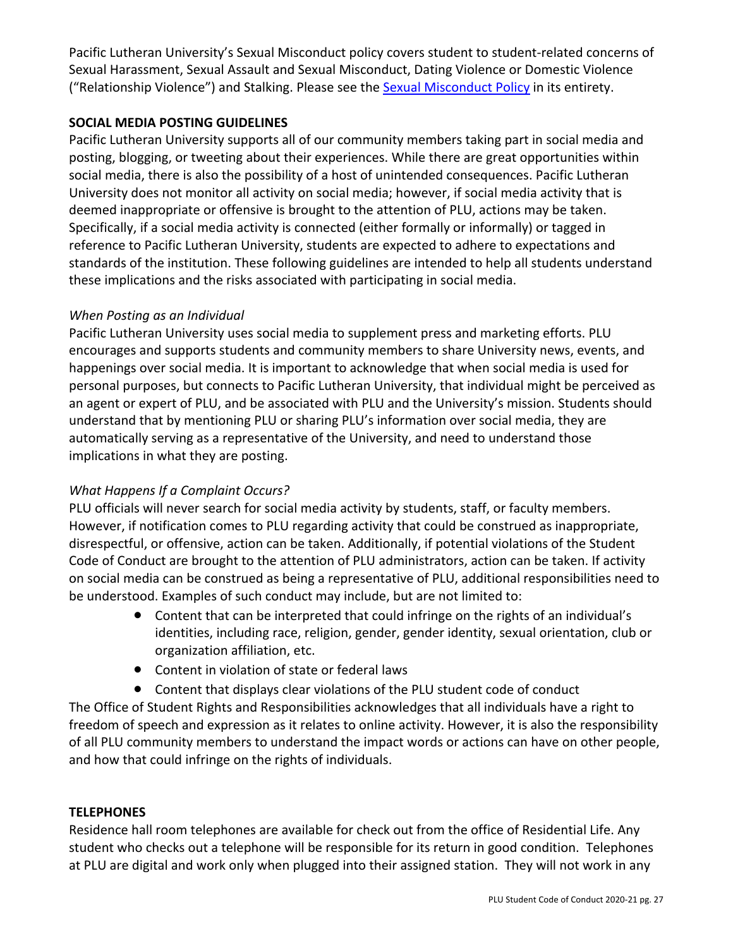Pacific Lutheran University's Sexual Misconduct policy covers student to student-related concerns of Sexual Harassment, Sexual Assault and Sexual Misconduct, Dating Violence or Domestic Violence ("Relationship Violence") and Stalking. Please see the **Sexual Misconduct Policy** in its entirety.

### **SOCIAL MEDIA POSTING GUIDELINES**

Pacific Lutheran University supports all of our community members taking part in social media and posting, blogging, or tweeting about their experiences. While there are great opportunities within social media, there is also the possibility of a host of unintended consequences. Pacific Lutheran University does not monitor all activity on social media; however, if social media activity that is deemed inappropriate or offensive is brought to the attention of PLU, actions may be taken. Specifically, if a social media activity is connected (either formally or informally) or tagged in reference to Pacific Lutheran University, students are expected to adhere to expectations and standards of the institution. These following guidelines are intended to help all students understand these implications and the risks associated with participating in social media.

### *When Posting as an Individual*

Pacific Lutheran University uses social media to supplement press and marketing efforts. PLU encourages and supports students and community members to share University news, events, and happenings over social media. It is important to acknowledge that when social media is used for personal purposes, but connects to Pacific Lutheran University, that individual might be perceived as an agent or expert of PLU, and be associated with PLU and the University's mission. Students should understand that by mentioning PLU or sharing PLU's information over social media, they are automatically serving as a representative of the University, and need to understand those implications in what they are posting.

## *What Happens If a Complaint Occurs?*

PLU officials will never search for social media activity by students, staff, or faculty members. However, if notification comes to PLU regarding activity that could be construed as inappropriate, disrespectful, or offensive, action can be taken. Additionally, if potential violations of the Student Code of Conduct are brought to the attention of PLU administrators, action can be taken. If activity on social media can be construed as being a representative of PLU, additional responsibilities need to be understood. Examples of such conduct may include, but are not limited to:

- Content that can be interpreted that could infringe on the rights of an individual's identities, including race, religion, gender, gender identity, sexual orientation, club or organization affiliation, etc.
- Content in violation of state or federal laws
- Content that displays clear violations of the PLU student code of conduct

The Office of Student Rights and Responsibilities acknowledges that all individuals have a right to freedom of speech and expression as it relates to online activity. However, it is also the responsibility of all PLU community members to understand the impact words or actions can have on other people, and how that could infringe on the rights of individuals.

## **TELEPHONES**

Residence hall room telephones are available for check out from the office of Residential Life. Any student who checks out a telephone will be responsible for its return in good condition. Telephones at PLU are digital and work only when plugged into their assigned station. They will not work in any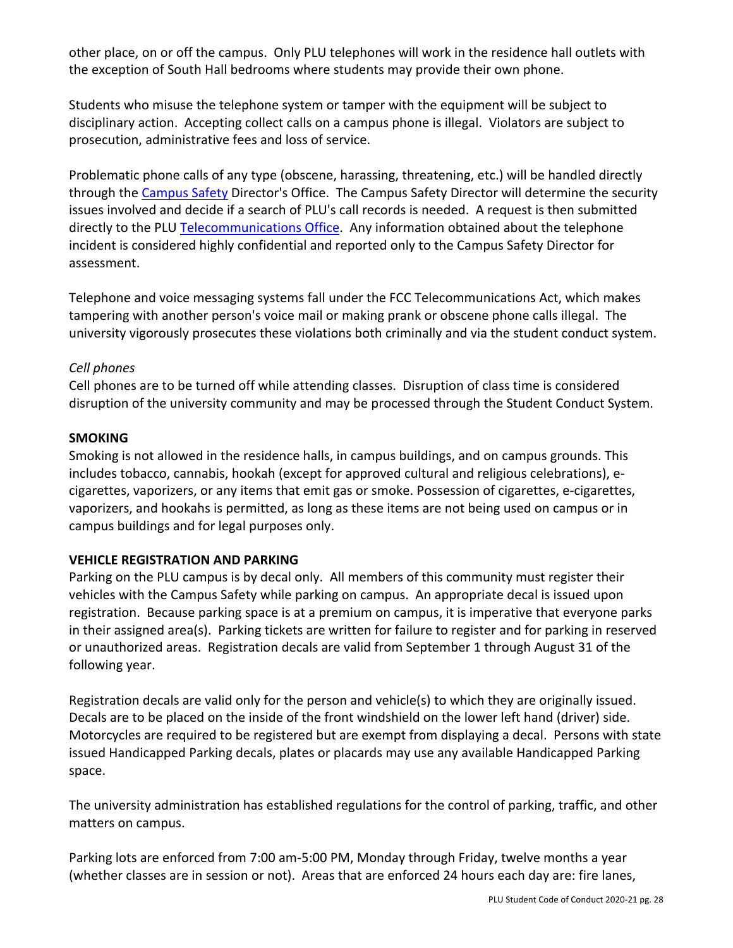other place, on or off the campus. Only PLU telephones will work in the residence hall outlets with the exception of South Hall bedrooms where students may provide their own phone.

Students who misuse the telephone system or tamper with the equipment will be subject to disciplinary action. Accepting collect calls on a campus phone is illegal. Violators are subject to prosecution, administrative fees and loss of service.

Problematic phone calls of any type (obscene, harassing, threatening, etc.) will be handled directly through the Campus Safety Director's Office. The Campus Safety Director will determine the security issues involved and decide if a search of PLU's call records is needed. A request is then submitted directly to the PLU Telecommunications Office. Any information obtained about the telephone incident is considered highly confidential and reported only to the Campus Safety Director for assessment.

Telephone and voice messaging systems fall under the FCC Telecommunications Act, which makes tampering with another person's voice mail or making prank or obscene phone calls illegal. The university vigorously prosecutes these violations both criminally and via the student conduct system.

### *Cell phones*

Cell phones are to be turned off while attending classes. Disruption of class time is considered disruption of the university community and may be processed through the Student Conduct System.

### **SMOKING**

Smoking is not allowed in the residence halls, in campus buildings, and on campus grounds. This includes tobacco, cannabis, hookah (except for approved cultural and religious celebrations), ecigarettes, vaporizers, or any items that emit gas or smoke. Possession of cigarettes, e-cigarettes, vaporizers, and hookahs is permitted, as long as these items are not being used on campus or in campus buildings and for legal purposes only.

#### **VEHICLE REGISTRATION AND PARKING**

Parking on the PLU campus is by decal only. All members of this community must register their vehicles with the Campus Safety while parking on campus. An appropriate decal is issued upon registration. Because parking space is at a premium on campus, it is imperative that everyone parks in their assigned area(s). Parking tickets are written for failure to register and for parking in reserved or unauthorized areas. Registration decals are valid from September 1 through August 31 of the following year.

Registration decals are valid only for the person and vehicle(s) to which they are originally issued. Decals are to be placed on the inside of the front windshield on the lower left hand (driver) side. Motorcycles are required to be registered but are exempt from displaying a decal. Persons with state issued Handicapped Parking decals, plates or placards may use any available Handicapped Parking space.

The university administration has established regulations for the control of parking, traffic, and other matters on campus.

Parking lots are enforced from 7:00 am-5:00 PM, Monday through Friday, twelve months a year (whether classes are in session or not). Areas that are enforced 24 hours each day are: fire lanes,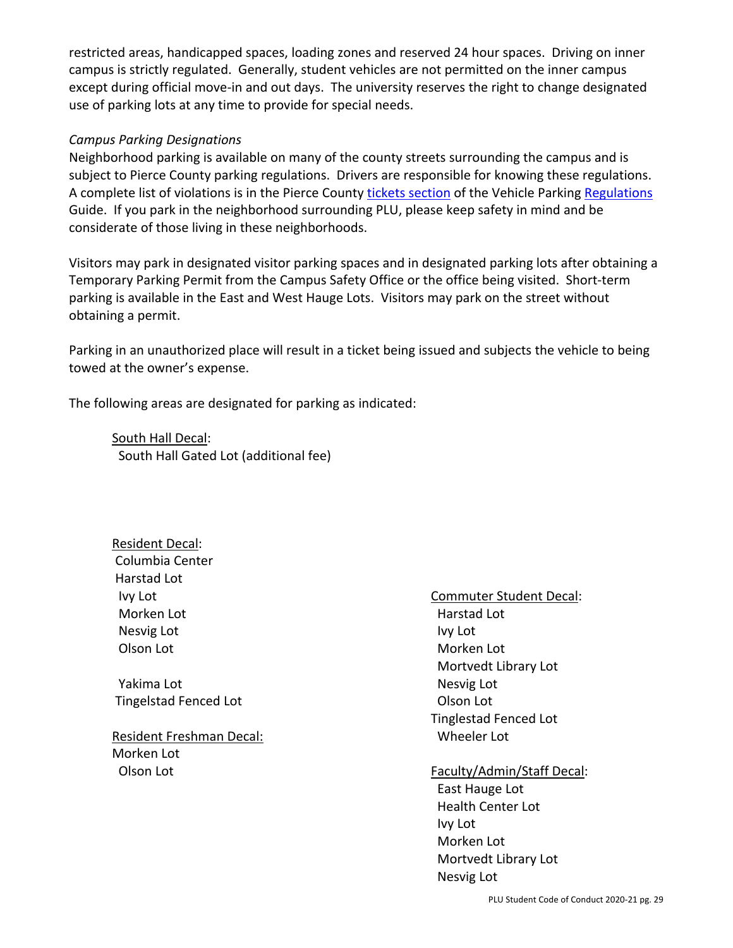restricted areas, handicapped spaces, loading zones and reserved 24 hour spaces. Driving on inner campus is strictly regulated. Generally, student vehicles are not permitted on the inner campus except during official move-in and out days. The university reserves the right to change designated use of parking lots at any time to provide for special needs.

#### *Campus Parking Designations*

Neighborhood parking is available on many of the county streets surrounding the campus and is subject to Pierce County parking regulations. Drivers are responsible for knowing these regulations. A complete list of violations is in the Pierce County tickets section of the Vehicle Parking Regulations Guide. If you park in the neighborhood surrounding PLU, please keep safety in mind and be considerate of those living in these neighborhoods.

Visitors may park in designated visitor parking spaces and in designated parking lots after obtaining a Temporary Parking Permit from the Campus Safety Office or the office being visited. Short-term parking is available in the East and West Hauge Lots. Visitors may park on the street without obtaining a permit.

Parking in an unauthorized place will result in a ticket being issued and subjects the vehicle to being towed at the owner's expense.

The following areas are designated for parking as indicated:

South Hall Decal: South Hall Gated Lot (additional fee)

 Resident Decal: Columbia Center Harstad Lot Ivy Lot Morken Lot Nesvig Lot Olson Lot

 Yakima Lot Tingelstad Fenced Lot

Resident Freshman Decal: Morken Lot Olson Lot

Commuter Student Decal: Harstad Lot Ivy Lot Morken Lot Mortvedt Library Lot Nesvig Lot Olson Lot Tinglestad Fenced Lot Wheeler Lot

Faculty/Admin/Staff Decal:

 East Hauge Lot Health Center Lot Ivy Lot Morken Lot Mortvedt Library Lot Nesvig Lot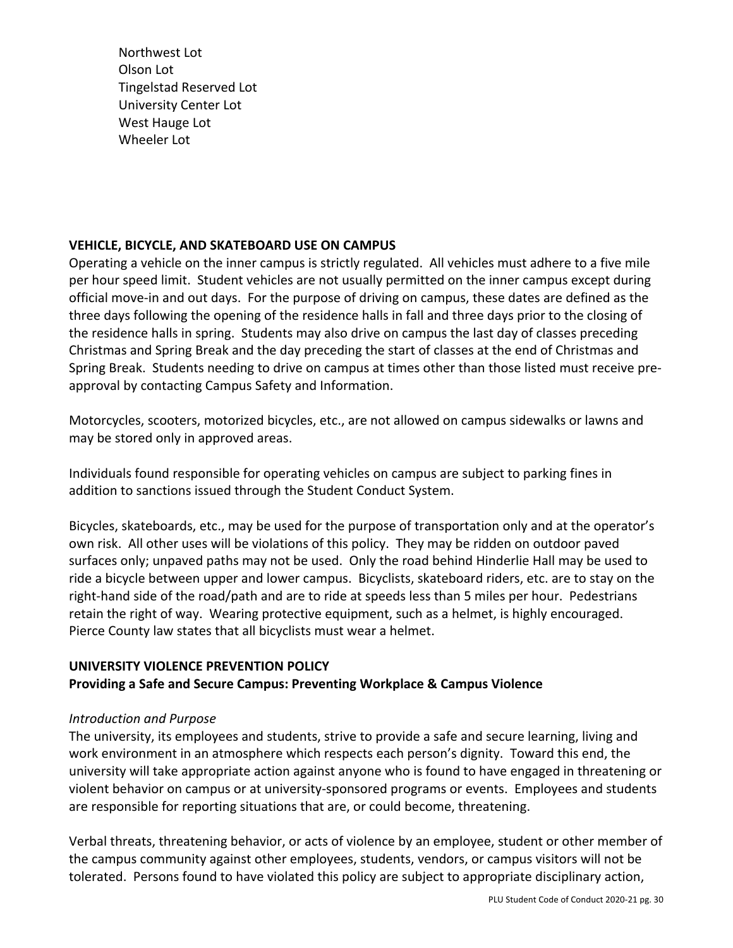Northwest Lot Olson Lot Tingelstad Reserved Lot University Center Lot West Hauge Lot Wheeler Lot

#### **VEHICLE, BICYCLE, AND SKATEBOARD USE ON CAMPUS**

Operating a vehicle on the inner campus is strictly regulated. All vehicles must adhere to a five mile per hour speed limit. Student vehicles are not usually permitted on the inner campus except during official move-in and out days. For the purpose of driving on campus, these dates are defined as the three days following the opening of the residence halls in fall and three days prior to the closing of the residence halls in spring. Students may also drive on campus the last day of classes preceding Christmas and Spring Break and the day preceding the start of classes at the end of Christmas and Spring Break. Students needing to drive on campus at times other than those listed must receive preapproval by contacting Campus Safety and Information.

Motorcycles, scooters, motorized bicycles, etc., are not allowed on campus sidewalks or lawns and may be stored only in approved areas.

Individuals found responsible for operating vehicles on campus are subject to parking fines in addition to sanctions issued through the Student Conduct System.

Bicycles, skateboards, etc., may be used for the purpose of transportation only and at the operator's own risk. All other uses will be violations of this policy. They may be ridden on outdoor paved surfaces only; unpaved paths may not be used. Only the road behind Hinderlie Hall may be used to ride a bicycle between upper and lower campus. Bicyclists, skateboard riders, etc. are to stay on the right-hand side of the road/path and are to ride at speeds less than 5 miles per hour. Pedestrians retain the right of way. Wearing protective equipment, such as a helmet, is highly encouraged. Pierce County law states that all bicyclists must wear a helmet.

## **UNIVERSITY VIOLENCE PREVENTION POLICY**

## **Providing a Safe and Secure Campus: Preventing Workplace & Campus Violence**

#### *Introduction and Purpose*

The university, its employees and students, strive to provide a safe and secure learning, living and work environment in an atmosphere which respects each person's dignity. Toward this end, the university will take appropriate action against anyone who is found to have engaged in threatening or violent behavior on campus or at university-sponsored programs or events. Employees and students are responsible for reporting situations that are, or could become, threatening.

Verbal threats, threatening behavior, or acts of violence by an employee, student or other member of the campus community against other employees, students, vendors, or campus visitors will not be tolerated. Persons found to have violated this policy are subject to appropriate disciplinary action,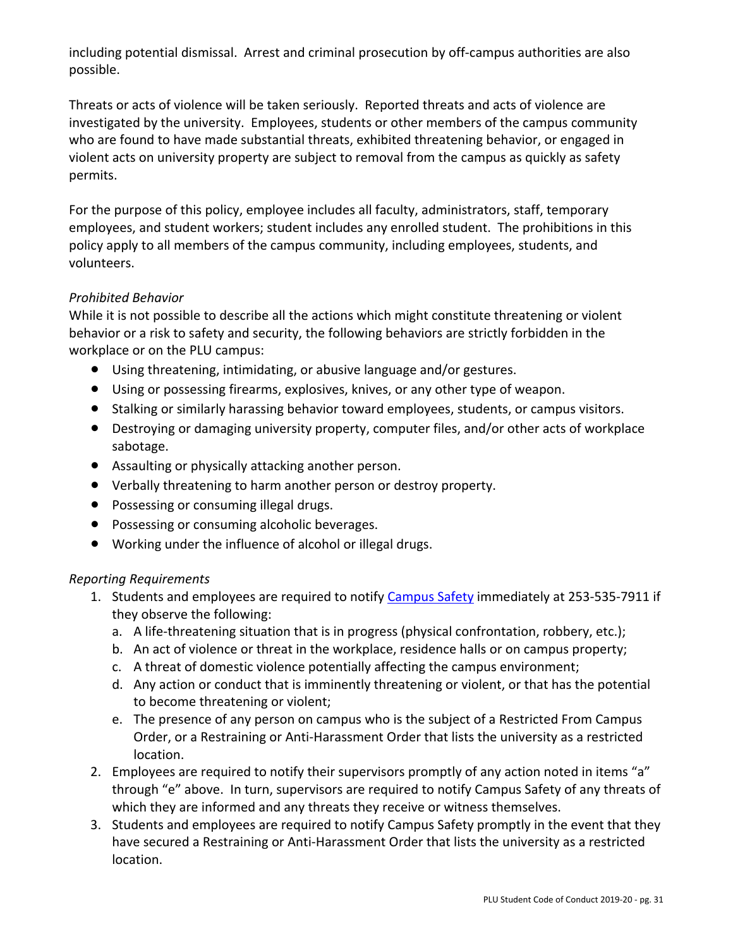including potential dismissal. Arrest and criminal prosecution by off-campus authorities are also possible.

Threats or acts of violence will be taken seriously. Reported threats and acts of violence are investigated by the university. Employees, students or other members of the campus community who are found to have made substantial threats, exhibited threatening behavior, or engaged in violent acts on university property are subject to removal from the campus as quickly as safety permits.

For the purpose of this policy, employee includes all faculty, administrators, staff, temporary employees, and student workers; student includes any enrolled student. The prohibitions in this policy apply to all members of the campus community, including employees, students, and volunteers.

## *Prohibited Behavior*

While it is not possible to describe all the actions which might constitute threatening or violent behavior or a risk to safety and security, the following behaviors are strictly forbidden in the workplace or on the PLU campus:

- Using threatening, intimidating, or abusive language and/or gestures.
- Using or possessing firearms, explosives, knives, or any other type of weapon.
- Stalking or similarly harassing behavior toward employees, students, or campus visitors.
- Destroying or damaging university property, computer files, and/or other acts of workplace sabotage.
- Assaulting or physically attacking another person.
- Verbally threatening to harm another person or destroy property.
- Possessing or consuming illegal drugs.
- Possessing or consuming alcoholic beverages.
- Working under the influence of alcohol or illegal drugs.

## *Reporting Requirements*

- 1. Students and employees are required to notify Campus Safety immediately at 253-535-7911 if they observe the following:
	- a. A life-threatening situation that is in progress (physical confrontation, robbery, etc.);
	- b. An act of violence or threat in the workplace, residence halls or on campus property;
	- c. A threat of domestic violence potentially affecting the campus environment;
	- d. Any action or conduct that is imminently threatening or violent, or that has the potential to become threatening or violent;
	- e. The presence of any person on campus who is the subject of a Restricted From Campus Order, or a Restraining or Anti-Harassment Order that lists the university as a restricted location.
- 2. Employees are required to notify their supervisors promptly of any action noted in items "a" through "e" above. In turn, supervisors are required to notify Campus Safety of any threats of which they are informed and any threats they receive or witness themselves.
- 3. Students and employees are required to notify Campus Safety promptly in the event that they have secured a Restraining or Anti-Harassment Order that lists the university as a restricted location.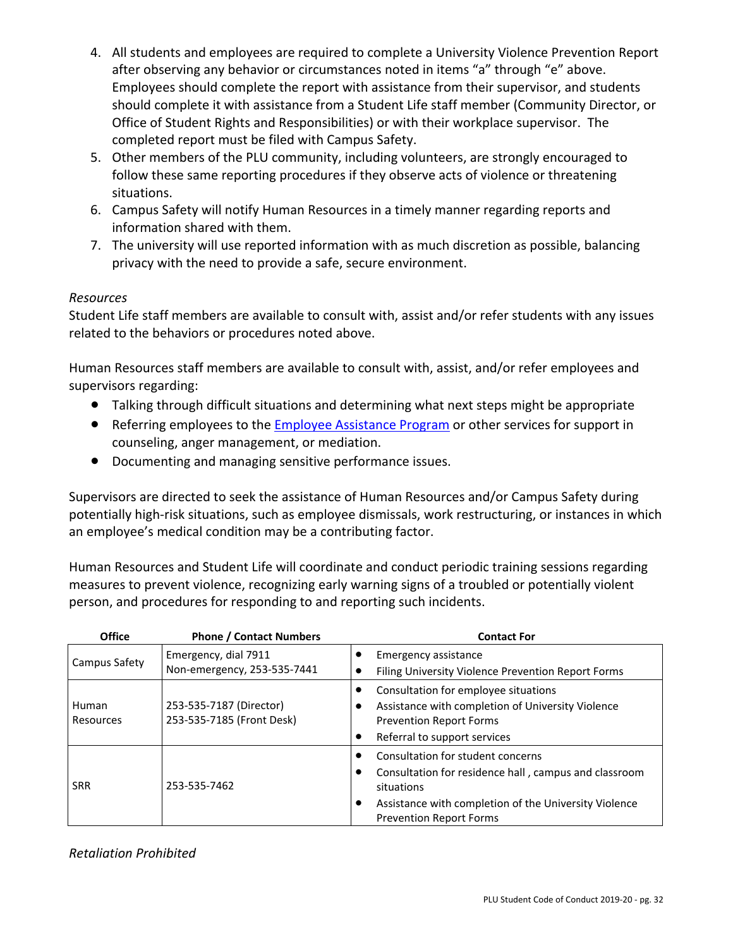- 4. All students and employees are required to complete a University Violence Prevention Report after observing any behavior or circumstances noted in items "a" through "e" above. Employees should complete the report with assistance from their supervisor, and students should complete it with assistance from a Student Life staff member (Community Director, or Office of Student Rights and Responsibilities) or with their workplace supervisor. The completed report must be filed with Campus Safety.
- 5. Other members of the PLU community, including volunteers, are strongly encouraged to follow these same reporting procedures if they observe acts of violence or threatening situations.
- 6. Campus Safety will notify Human Resources in a timely manner regarding reports and information shared with them.
- 7. The university will use reported information with as much discretion as possible, balancing privacy with the need to provide a safe, secure environment.

### *Resources*

Student Life staff members are available to consult with, assist and/or refer students with any issues related to the behaviors or procedures noted above.

Human Resources staff members are available to consult with, assist, and/or refer employees and supervisors regarding:

- Talking through difficult situations and determining what next steps might be appropriate
- Referring employees to the Employee Assistance Program or other services for support in counseling, anger management, or mediation.
- Documenting and managing sensitive performance issues.

Supervisors are directed to seek the assistance of Human Resources and/or Campus Safety during potentially high-risk situations, such as employee dismissals, work restructuring, or instances in which an employee's medical condition may be a contributing factor.

Human Resources and Student Life will coordinate and conduct periodic training sessions regarding measures to prevent violence, recognizing early warning signs of a troubled or potentially violent person, and procedures for responding to and reporting such incidents.

| <b>Office</b>      | <b>Phone / Contact Numbers</b>                       | <b>Contact For</b>                                                                                                                                                                                       |
|--------------------|------------------------------------------------------|----------------------------------------------------------------------------------------------------------------------------------------------------------------------------------------------------------|
| Campus Safety      | Emergency, dial 7911<br>Non-emergency, 253-535-7441  | Emergency assistance<br>Filing University Violence Prevention Report Forms                                                                                                                               |
| Human<br>Resources | 253-535-7187 (Director)<br>253-535-7185 (Front Desk) | Consultation for employee situations<br>Assistance with completion of University Violence<br><b>Prevention Report Forms</b><br>Referral to support services                                              |
| <b>SRR</b>         | 253-535-7462                                         | Consultation for student concerns<br>Consultation for residence hall, campus and classroom<br>situations<br>Assistance with completion of the University Violence<br>٠<br><b>Prevention Report Forms</b> |

*Retaliation Prohibited*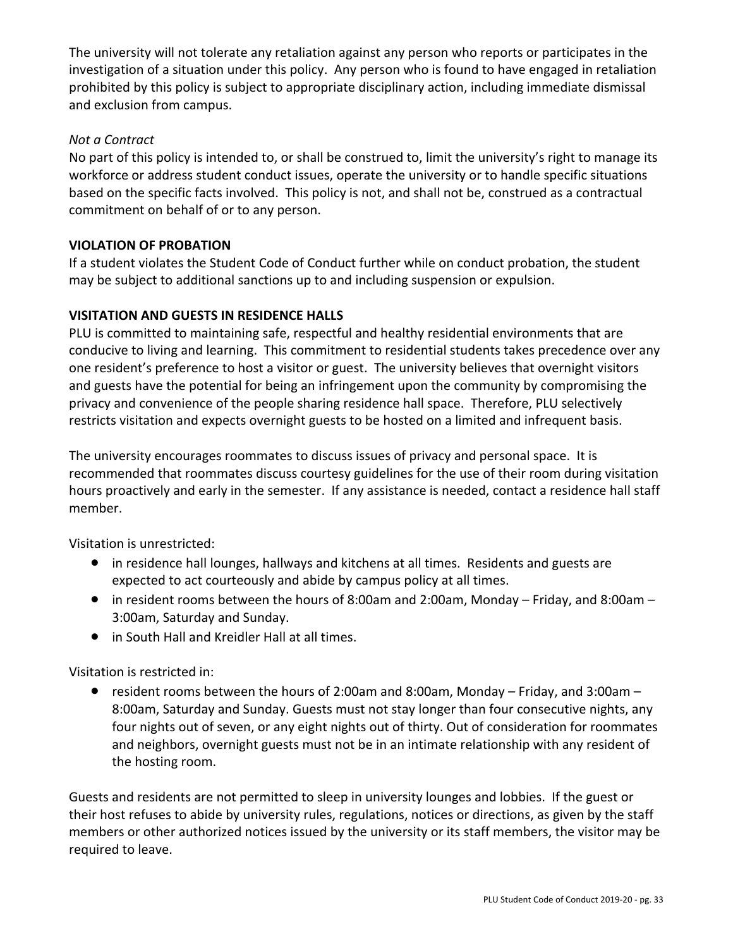The university will not tolerate any retaliation against any person who reports or participates in the investigation of a situation under this policy. Any person who is found to have engaged in retaliation prohibited by this policy is subject to appropriate disciplinary action, including immediate dismissal and exclusion from campus.

## *Not a Contract*

No part of this policy is intended to, or shall be construed to, limit the university's right to manage its workforce or address student conduct issues, operate the university or to handle specific situations based on the specific facts involved. This policy is not, and shall not be, construed as a contractual commitment on behalf of or to any person.

## **VIOLATION OF PROBATION**

If a student violates the Student Code of Conduct further while on conduct probation, the student may be subject to additional sanctions up to and including suspension or expulsion.

## **VISITATION AND GUESTS IN RESIDENCE HALLS**

PLU is committed to maintaining safe, respectful and healthy residential environments that are conducive to living and learning. This commitment to residential students takes precedence over any one resident's preference to host a visitor or guest. The university believes that overnight visitors and guests have the potential for being an infringement upon the community by compromising the privacy and convenience of the people sharing residence hall space. Therefore, PLU selectively restricts visitation and expects overnight guests to be hosted on a limited and infrequent basis.

The university encourages roommates to discuss issues of privacy and personal space. It is recommended that roommates discuss courtesy guidelines for the use of their room during visitation hours proactively and early in the semester. If any assistance is needed, contact a residence hall staff member.

Visitation is unrestricted:

- in residence hall lounges, hallways and kitchens at all times. Residents and guests are expected to act courteously and abide by campus policy at all times.
- in resident rooms between the hours of 8:00am and 2:00am, Monday Friday, and 8:00am 3:00am, Saturday and Sunday.
- in South Hall and Kreidler Hall at all times.

Visitation is restricted in:

• resident rooms between the hours of 2:00am and 8:00am, Monday – Friday, and 3:00am – 8:00am, Saturday and Sunday. Guests must not stay longer than four consecutive nights, any four nights out of seven, or any eight nights out of thirty. Out of consideration for roommates and neighbors, overnight guests must not be in an intimate relationship with any resident of the hosting room.

Guests and residents are not permitted to sleep in university lounges and lobbies. If the guest or their host refuses to abide by university rules, regulations, notices or directions, as given by the staff members or other authorized notices issued by the university or its staff members, the visitor may be required to leave.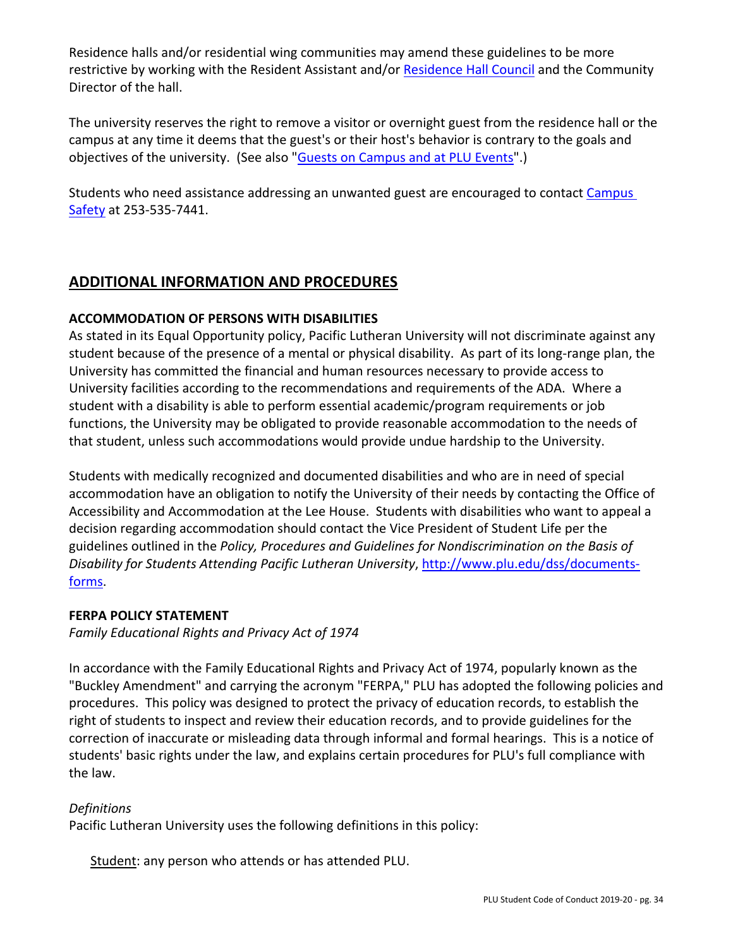Residence halls and/or residential wing communities may amend these guidelines to be more restrictive by working with the Resident Assistant and/or Residence Hall Council and the Community Director of the hall.

The university reserves the right to remove a visitor or overnight guest from the residence hall or the campus at any time it deems that the guest's or their host's behavior is contrary to the goals and objectives of the university. (See also "Guests on Campus and at PLU Events".)

Students who need assistance addressing an unwanted guest are encouraged to contact Campus Safety at 253-535-7441.

# **ADDITIONAL INFORMATION AND PROCEDURES**

### **ACCOMMODATION OF PERSONS WITH DISABILITIES**

As stated in its Equal Opportunity policy, Pacific Lutheran University will not discriminate against any student because of the presence of a mental or physical disability. As part of its long-range plan, the University has committed the financial and human resources necessary to provide access to University facilities according to the recommendations and requirements of the ADA. Where a student with a disability is able to perform essential academic/program requirements or job functions, the University may be obligated to provide reasonable accommodation to the needs of that student, unless such accommodations would provide undue hardship to the University.

Students with medically recognized and documented disabilities and who are in need of special accommodation have an obligation to notify the University of their needs by contacting the Office of Accessibility and Accommodation at the Lee House. Students with disabilities who want to appeal a decision regarding accommodation should contact the Vice President of Student Life per the guidelines outlined in the *Policy, Procedures and Guidelines for Nondiscrimination on the Basis of Disability for Students Attending Pacific Lutheran University*, http://www.plu.edu/dss/documentsforms.

#### **FERPA POLICY STATEMENT**

*Family Educational Rights and Privacy Act of 1974* 

In accordance with the Family Educational Rights and Privacy Act of 1974, popularly known as the "Buckley Amendment" and carrying the acronym "FERPA," PLU has adopted the following policies and procedures. This policy was designed to protect the privacy of education records, to establish the right of students to inspect and review their education records, and to provide guidelines for the correction of inaccurate or misleading data through informal and formal hearings. This is a notice of students' basic rights under the law, and explains certain procedures for PLU's full compliance with the law.

## *Definitions*

Pacific Lutheran University uses the following definitions in this policy:

Student: any person who attends or has attended PLU.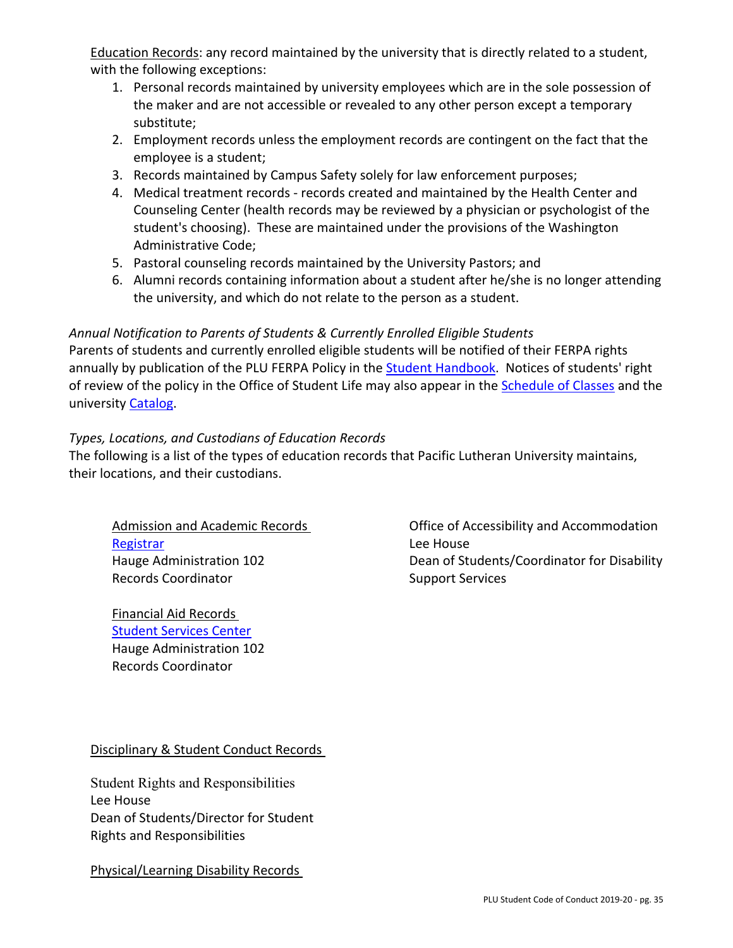Education Records: any record maintained by the university that is directly related to a student, with the following exceptions:

- 1. Personal records maintained by university employees which are in the sole possession of the maker and are not accessible or revealed to any other person except a temporary substitute;
- 2. Employment records unless the employment records are contingent on the fact that the employee is a student;
- 3. Records maintained by Campus Safety solely for law enforcement purposes;
- 4. Medical treatment records records created and maintained by the Health Center and Counseling Center (health records may be reviewed by a physician or psychologist of the student's choosing). These are maintained under the provisions of the Washington Administrative Code;
- 5. Pastoral counseling records maintained by the University Pastors; and
- 6. Alumni records containing information about a student after he/she is no longer attending the university, and which do not relate to the person as a student.

### *Annual Notification to Parents of Students & Currently Enrolled Eligible Students*

Parents of students and currently enrolled eligible students will be notified of their FERPA rights annually by publication of the PLU FERPA Policy in the Student Handbook. Notices of students' right of review of the policy in the Office of Student Life may also appear in the **Schedule of Classes** and the university Catalog.

### *Types, Locations, and Custodians of Education Records*

The following is a list of the types of education records that Pacific Lutheran University maintains, their locations, and their custodians.

Admission and Academic Records Registrar Hauge Administration 102 Records Coordinator

Financial Aid Records Student Services Center Hauge Administration 102 Records Coordinator

Office of Accessibility and Accommodation Lee House Dean of Students/Coordinator for Disability Support Services

Disciplinary & Student Conduct Records

Student Rights and Responsibilities Lee House Dean of Students/Director for Student Rights and Responsibilities

Physical/Learning Disability Records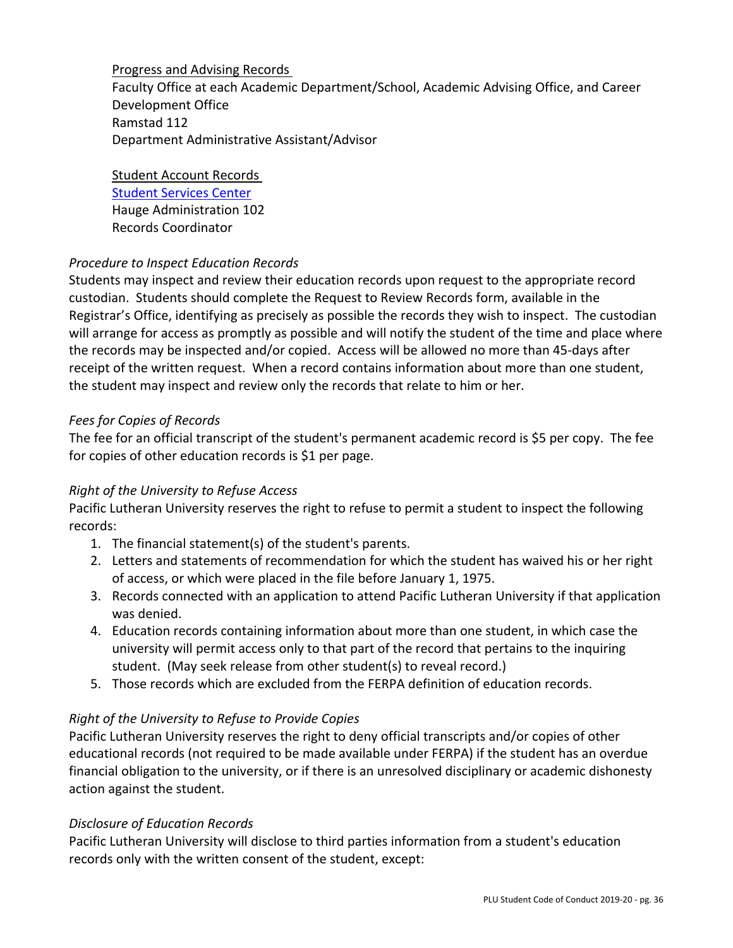Progress and Advising Records

Faculty Office at each Academic Department/School, Academic Advising Office, and Career Development Office Ramstad 112 Department Administrative Assistant/Advisor

Student Account Records Student Services Center Hauge Administration 102 Records Coordinator

## *Procedure to Inspect Education Records*

Students may inspect and review their education records upon request to the appropriate record custodian. Students should complete the Request to Review Records form, available in the Registrar's Office, identifying as precisely as possible the records they wish to inspect. The custodian will arrange for access as promptly as possible and will notify the student of the time and place where the records may be inspected and/or copied. Access will be allowed no more than 45-days after receipt of the written request. When a record contains information about more than one student, the student may inspect and review only the records that relate to him or her.

## *Fees for Copies of Records*

The fee for an official transcript of the student's permanent academic record is \$5 per copy. The fee for copies of other education records is \$1 per page.

## *Right of the University to Refuse Access*

Pacific Lutheran University reserves the right to refuse to permit a student to inspect the following records:

- 1. The financial statement(s) of the student's parents.
- 2. Letters and statements of recommendation for which the student has waived his or her right of access, or which were placed in the file before January 1, 1975.
- 3. Records connected with an application to attend Pacific Lutheran University if that application was denied.
- 4. Education records containing information about more than one student, in which case the university will permit access only to that part of the record that pertains to the inquiring student. (May seek release from other student(s) to reveal record.)
- 5. Those records which are excluded from the FERPA definition of education records.

# *Right of the University to Refuse to Provide Copies*

Pacific Lutheran University reserves the right to deny official transcripts and/or copies of other educational records (not required to be made available under FERPA) if the student has an overdue financial obligation to the university, or if there is an unresolved disciplinary or academic dishonesty action against the student.

## *Disclosure of Education Records*

Pacific Lutheran University will disclose to third parties information from a student's education records only with the written consent of the student, except: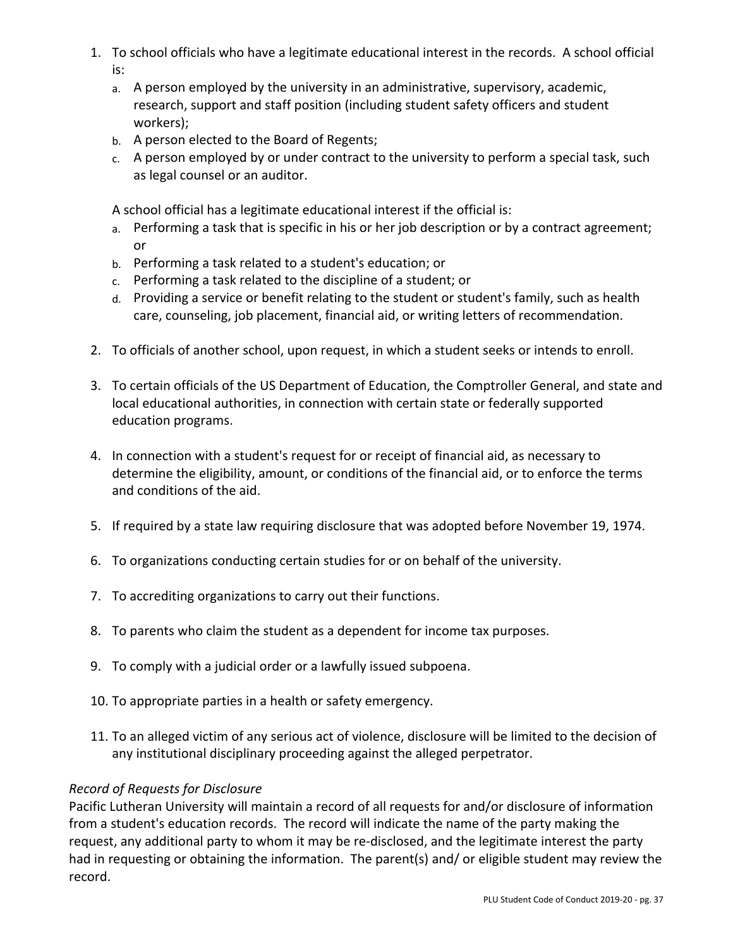- 1. To school officials who have a legitimate educational interest in the records. A school official is:
	- a. A person employed by the university in an administrative, supervisory, academic, research, support and staff position (including student safety officers and student workers);
	- b. A person elected to the Board of Regents;
	- c. A person employed by or under contract to the university to perform a special task, such as legal counsel or an auditor.

A school official has a legitimate educational interest if the official is:

- a. Performing a task that is specific in his or her job description or by a contract agreement; or
- b. Performing a task related to a student's education; or
- c. Performing a task related to the discipline of a student; or
- d. Providing a service or benefit relating to the student or student's family, such as health care, counseling, job placement, financial aid, or writing letters of recommendation.
- 2. To officials of another school, upon request, in which a student seeks or intends to enroll.
- 3. To certain officials of the US Department of Education, the Comptroller General, and state and local educational authorities, in connection with certain state or federally supported education programs.
- 4. In connection with a student's request for or receipt of financial aid, as necessary to determine the eligibility, amount, or conditions of the financial aid, or to enforce the terms and conditions of the aid.
- 5. If required by a state law requiring disclosure that was adopted before November 19, 1974.
- 6. To organizations conducting certain studies for or on behalf of the university.
- 7. To accrediting organizations to carry out their functions.
- 8. To parents who claim the student as a dependent for income tax purposes.
- 9. To comply with a judicial order or a lawfully issued subpoena.
- 10. To appropriate parties in a health or safety emergency.
- 11. To an alleged victim of any serious act of violence, disclosure will be limited to the decision of any institutional disciplinary proceeding against the alleged perpetrator.

#### *Record of Requests for Disclosure*

Pacific Lutheran University will maintain a record of all requests for and/or disclosure of information from a student's education records. The record will indicate the name of the party making the request, any additional party to whom it may be re-disclosed, and the legitimate interest the party had in requesting or obtaining the information. The parent(s) and/ or eligible student may review the record.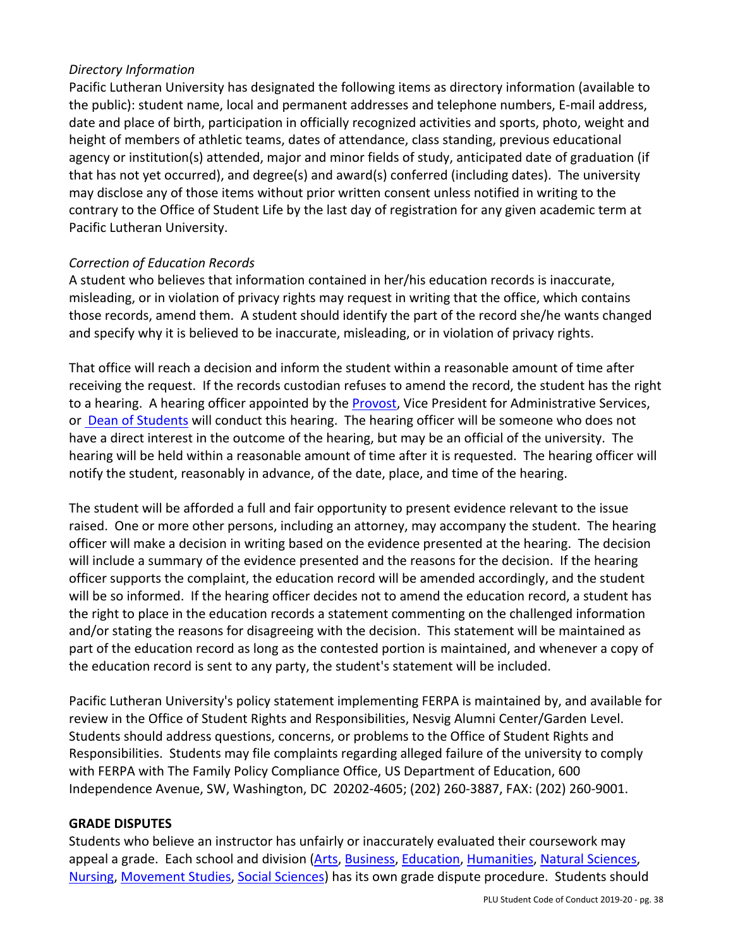### *Directory Information*

Pacific Lutheran University has designated the following items as directory information (available to the public): student name, local and permanent addresses and telephone numbers, E-mail address, date and place of birth, participation in officially recognized activities and sports, photo, weight and height of members of athletic teams, dates of attendance, class standing, previous educational agency or institution(s) attended, major and minor fields of study, anticipated date of graduation (if that has not yet occurred), and degree(s) and award(s) conferred (including dates). The university may disclose any of those items without prior written consent unless notified in writing to the contrary to the Office of Student Life by the last day of registration for any given academic term at Pacific Lutheran University.

### *Correction of Education Records*

A student who believes that information contained in her/his education records is inaccurate, misleading, or in violation of privacy rights may request in writing that the office, which contains those records, amend them. A student should identify the part of the record she/he wants changed and specify why it is believed to be inaccurate, misleading, or in violation of privacy rights.

That office will reach a decision and inform the student within a reasonable amount of time after receiving the request. If the records custodian refuses to amend the record, the student has the right to a hearing. A hearing officer appointed by the Provost, Vice President for Administrative Services, or Dean of Students will conduct this hearing. The hearing officer will be someone who does not have a direct interest in the outcome of the hearing, but may be an official of the university. The hearing will be held within a reasonable amount of time after it is requested. The hearing officer will notify the student, reasonably in advance, of the date, place, and time of the hearing.

The student will be afforded a full and fair opportunity to present evidence relevant to the issue raised. One or more other persons, including an attorney, may accompany the student. The hearing officer will make a decision in writing based on the evidence presented at the hearing. The decision will include a summary of the evidence presented and the reasons for the decision. If the hearing officer supports the complaint, the education record will be amended accordingly, and the student will be so informed. If the hearing officer decides not to amend the education record, a student has the right to place in the education records a statement commenting on the challenged information and/or stating the reasons for disagreeing with the decision. This statement will be maintained as part of the education record as long as the contested portion is maintained, and whenever a copy of the education record is sent to any party, the student's statement will be included.

Pacific Lutheran University's policy statement implementing FERPA is maintained by, and available for review in the Office of Student Rights and Responsibilities, Nesvig Alumni Center/Garden Level. Students should address questions, concerns, or problems to the Office of Student Rights and Responsibilities. Students may file complaints regarding alleged failure of the university to comply with FERPA with The Family Policy Compliance Office, US Department of Education, 600 Independence Avenue, SW, Washington, DC 20202-4605; (202) 260-3887, FAX: (202) 260-9001.

#### **GRADE DISPUTES**

Students who believe an instructor has unfairly or inaccurately evaluated their coursework may appeal a grade. Each school and division (Arts, Business, Education, Humanities, Natural Sciences, Nursing, Movement Studies, Social Sciences) has its own grade dispute procedure. Students should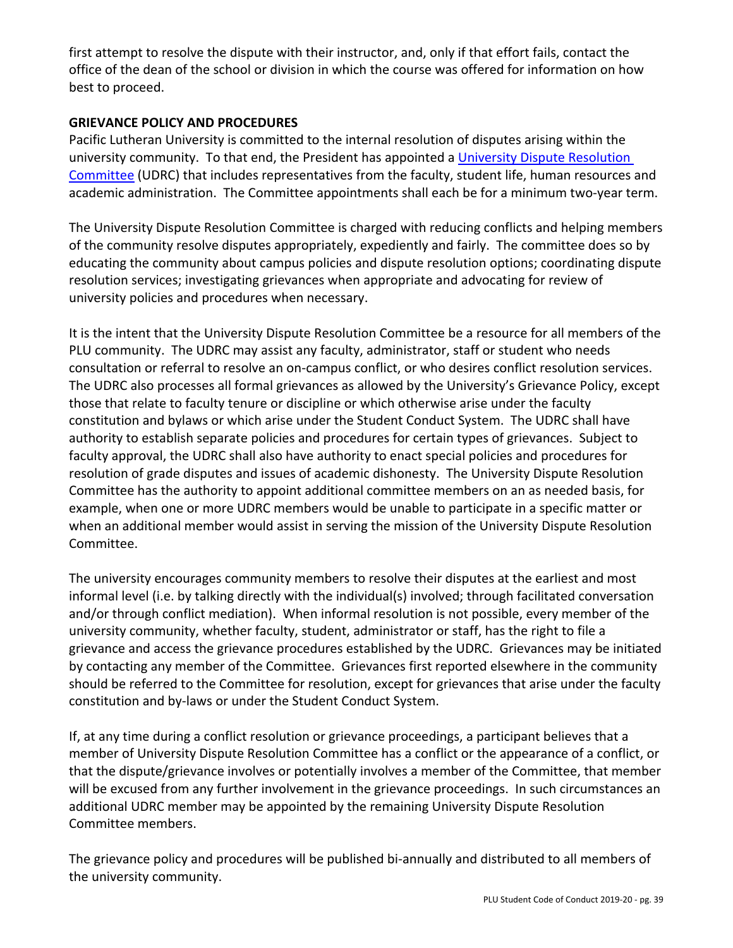first attempt to resolve the dispute with their instructor, and, only if that effort fails, contact the office of the dean of the school or division in which the course was offered for information on how best to proceed.

### **GRIEVANCE POLICY AND PROCEDURES**

Pacific Lutheran University is committed to the internal resolution of disputes arising within the university community. To that end, the President has appointed a University Dispute Resolution Committee (UDRC) that includes representatives from the faculty, student life, human resources and academic administration. The Committee appointments shall each be for a minimum two-year term.

The University Dispute Resolution Committee is charged with reducing conflicts and helping members of the community resolve disputes appropriately, expediently and fairly. The committee does so by educating the community about campus policies and dispute resolution options; coordinating dispute resolution services; investigating grievances when appropriate and advocating for review of university policies and procedures when necessary.

It is the intent that the University Dispute Resolution Committee be a resource for all members of the PLU community. The UDRC may assist any faculty, administrator, staff or student who needs consultation or referral to resolve an on-campus conflict, or who desires conflict resolution services. The UDRC also processes all formal grievances as allowed by the University's Grievance Policy, except those that relate to faculty tenure or discipline or which otherwise arise under the faculty constitution and bylaws or which arise under the Student Conduct System. The UDRC shall have authority to establish separate policies and procedures for certain types of grievances. Subject to faculty approval, the UDRC shall also have authority to enact special policies and procedures for resolution of grade disputes and issues of academic dishonesty. The University Dispute Resolution Committee has the authority to appoint additional committee members on an as needed basis, for example, when one or more UDRC members would be unable to participate in a specific matter or when an additional member would assist in serving the mission of the University Dispute Resolution Committee.

The university encourages community members to resolve their disputes at the earliest and most informal level (i.e. by talking directly with the individual(s) involved; through facilitated conversation and/or through conflict mediation). When informal resolution is not possible, every member of the university community, whether faculty, student, administrator or staff, has the right to file a grievance and access the grievance procedures established by the UDRC. Grievances may be initiated by contacting any member of the Committee. Grievances first reported elsewhere in the community should be referred to the Committee for resolution, except for grievances that arise under the faculty constitution and by-laws or under the Student Conduct System.

If, at any time during a conflict resolution or grievance proceedings, a participant believes that a member of University Dispute Resolution Committee has a conflict or the appearance of a conflict, or that the dispute/grievance involves or potentially involves a member of the Committee, that member will be excused from any further involvement in the grievance proceedings. In such circumstances an additional UDRC member may be appointed by the remaining University Dispute Resolution Committee members.

The grievance policy and procedures will be published bi-annually and distributed to all members of the university community.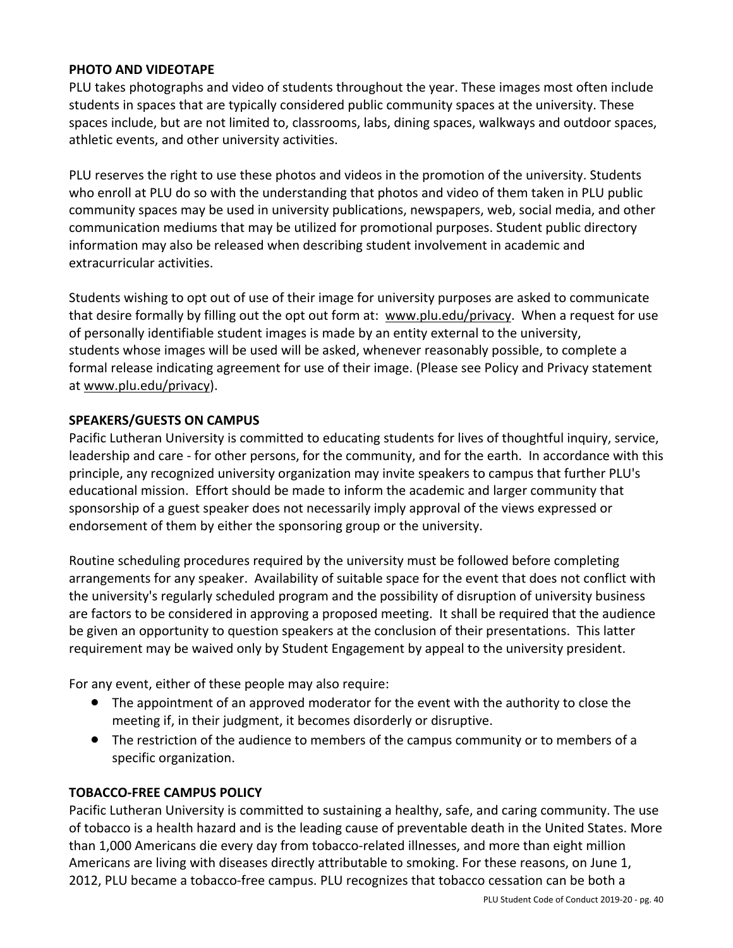#### **PHOTO AND VIDEOTAPE**

PLU takes photographs and video of students throughout the year. These images most often include students in spaces that are typically considered public community spaces at the university. These spaces include, but are not limited to, classrooms, labs, dining spaces, walkways and outdoor spaces, athletic events, and other university activities.

PLU reserves the right to use these photos and videos in the promotion of the university. Students who enroll at PLU do so with the understanding that photos and video of them taken in PLU public community spaces may be used in university publications, newspapers, web, social media, and other communication mediums that may be utilized for promotional purposes. Student public directory information may also be released when describing student involvement in academic and extracurricular activities.

Students wishing to opt out of use of their image for university purposes are asked to communicate that desire formally by filling out the opt out form at: www.plu.edu/privacy. When a request for use of personally identifiable student images is made by an entity external to the university, students whose images will be used will be asked, whenever reasonably possible, to complete a formal release indicating agreement for use of their image. (Please see Policy and Privacy statement at www.plu.edu/privacy).

#### **SPEAKERS/GUESTS ON CAMPUS**

Pacific Lutheran University is committed to educating students for lives of thoughtful inquiry, service, leadership and care - for other persons, for the community, and for the earth. In accordance with this principle, any recognized university organization may invite speakers to campus that further PLU's educational mission. Effort should be made to inform the academic and larger community that sponsorship of a guest speaker does not necessarily imply approval of the views expressed or endorsement of them by either the sponsoring group or the university.

Routine scheduling procedures required by the university must be followed before completing arrangements for any speaker. Availability of suitable space for the event that does not conflict with the university's regularly scheduled program and the possibility of disruption of university business are factors to be considered in approving a proposed meeting. It shall be required that the audience be given an opportunity to question speakers at the conclusion of their presentations. This latter requirement may be waived only by Student Engagement by appeal to the university president.

For any event, either of these people may also require:

- The appointment of an approved moderator for the event with the authority to close the meeting if, in their judgment, it becomes disorderly or disruptive.
- The restriction of the audience to members of the campus community or to members of a specific organization.

#### **TOBACCO-FREE CAMPUS POLICY**

Pacific Lutheran University is committed to sustaining a healthy, safe, and caring community. The use of tobacco is a health hazard and is the leading cause of preventable death in the United States. More than 1,000 Americans die every day from tobacco-related illnesses, and more than eight million Americans are living with diseases directly attributable to smoking. For these reasons, on June 1, 2012, PLU became a tobacco-free campus. PLU recognizes that tobacco cessation can be both a